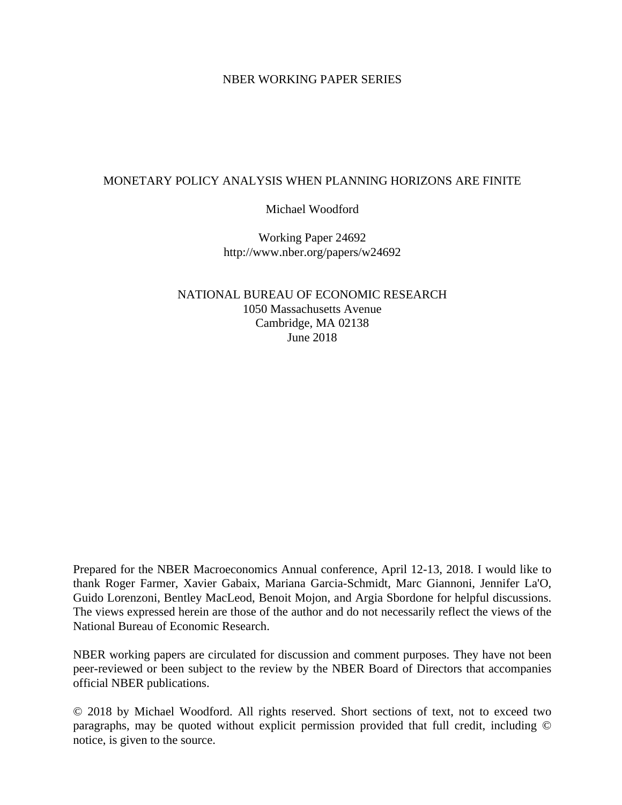### NBER WORKING PAPER SERIES

## MONETARY POLICY ANALYSIS WHEN PLANNING HORIZONS ARE FINITE

Michael Woodford

Working Paper 24692 http://www.nber.org/papers/w24692

NATIONAL BUREAU OF ECONOMIC RESEARCH 1050 Massachusetts Avenue Cambridge, MA 02138 June 2018

Prepared for the NBER Macroeconomics Annual conference, April 12-13, 2018. I would like to thank Roger Farmer, Xavier Gabaix, Mariana Garcia-Schmidt, Marc Giannoni, Jennifer La'O, Guido Lorenzoni, Bentley MacLeod, Benoit Mojon, and Argia Sbordone for helpful discussions. The views expressed herein are those of the author and do not necessarily reflect the views of the National Bureau of Economic Research.

NBER working papers are circulated for discussion and comment purposes. They have not been peer-reviewed or been subject to the review by the NBER Board of Directors that accompanies official NBER publications.

© 2018 by Michael Woodford. All rights reserved. Short sections of text, not to exceed two paragraphs, may be quoted without explicit permission provided that full credit, including © notice, is given to the source.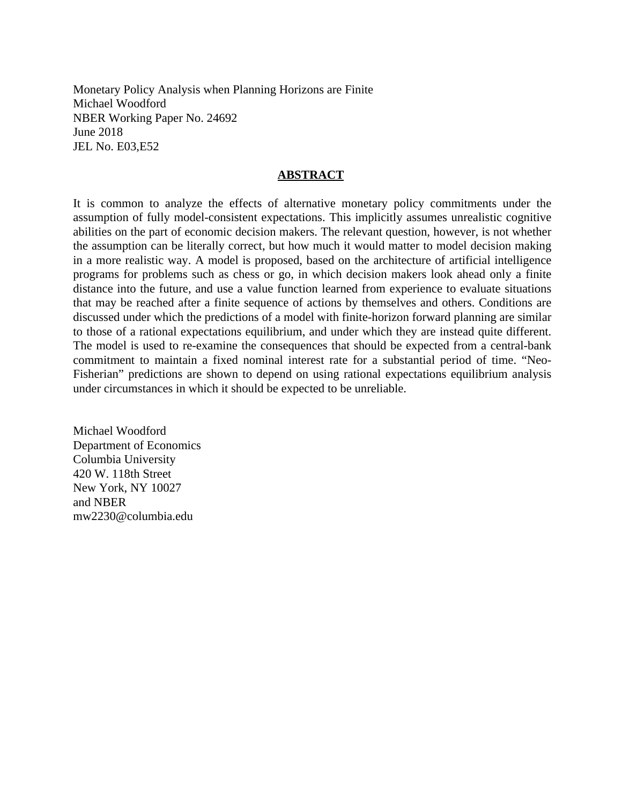Monetary Policy Analysis when Planning Horizons are Finite Michael Woodford NBER Working Paper No. 24692 June 2018 JEL No. E03,E52

### **ABSTRACT**

It is common to analyze the effects of alternative monetary policy commitments under the assumption of fully model-consistent expectations. This implicitly assumes unrealistic cognitive abilities on the part of economic decision makers. The relevant question, however, is not whether the assumption can be literally correct, but how much it would matter to model decision making in a more realistic way. A model is proposed, based on the architecture of artificial intelligence programs for problems such as chess or go, in which decision makers look ahead only a finite distance into the future, and use a value function learned from experience to evaluate situations that may be reached after a finite sequence of actions by themselves and others. Conditions are discussed under which the predictions of a model with finite-horizon forward planning are similar to those of a rational expectations equilibrium, and under which they are instead quite different. The model is used to re-examine the consequences that should be expected from a central-bank commitment to maintain a fixed nominal interest rate for a substantial period of time. "Neo-Fisherian" predictions are shown to depend on using rational expectations equilibrium analysis under circumstances in which it should be expected to be unreliable.

Michael Woodford Department of Economics Columbia University 420 W. 118th Street New York, NY 10027 and NBER mw2230@columbia.edu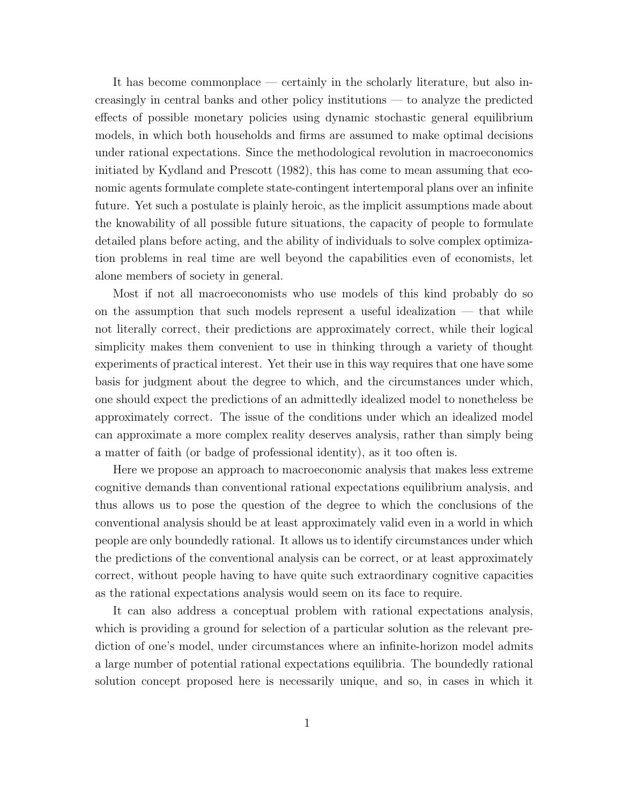It has become commonplace — certainly in the scholarly literature, but also increasingly in central banks and other policy institutions — to analyze the predicted effects of possible monetary policies using dynamic stochastic general equilibrium models, in which both households and firms are assumed to make optimal decisions under rational expectations. Since the methodological revolution in macroeconomics initiated by Kydland and Prescott (1982), this has come to mean assuming that economic agents formulate complete state-contingent intertemporal plans over an infinite future. Yet such a postulate is plainly heroic, as the implicit assumptions made about the knowability of all possible future situations, the capacity of people to formulate detailed plans before acting, and the ability of individuals to solve complex optimization problems in real time are well beyond the capabilities even of economists, let alone members of society in general.

Most if not all macroeconomists who use models of this kind probably do so on the assumption that such models represent a useful idealization — that while not literally correct, their predictions are approximately correct, while their logical simplicity makes them convenient to use in thinking through a variety of thought experiments of practical interest. Yet their use in this way requires that one have some basis for judgment about the degree to which, and the circumstances under which, one should expect the predictions of an admittedly idealized model to nonetheless be approximately correct. The issue of the conditions under which an idealized model can approximate a more complex reality deserves analysis, rather than simply being a matter of faith (or badge of professional identity), as it too often is.

Here we propose an approach to macroeconomic analysis that makes less extreme cognitive demands than conventional rational expectations equilibrium analysis, and thus allows us to pose the question of the degree to which the conclusions of the conventional analysis should be at least approximately valid even in a world in which people are only boundedly rational. It allows us to identify circumstances under which the predictions of the conventional analysis can be correct, or at least approximately correct, without people having to have quite such extraordinary cognitive capacities as the rational expectations analysis would seem on its face to require.

It can also address a conceptual problem with rational expectations analysis, which is providing a ground for selection of a particular solution as the relevant prediction of one's model, under circumstances where an infinite-horizon model admits a large number of potential rational expectations equilibria. The boundedly rational solution concept proposed here is necessarily unique, and so, in cases in which it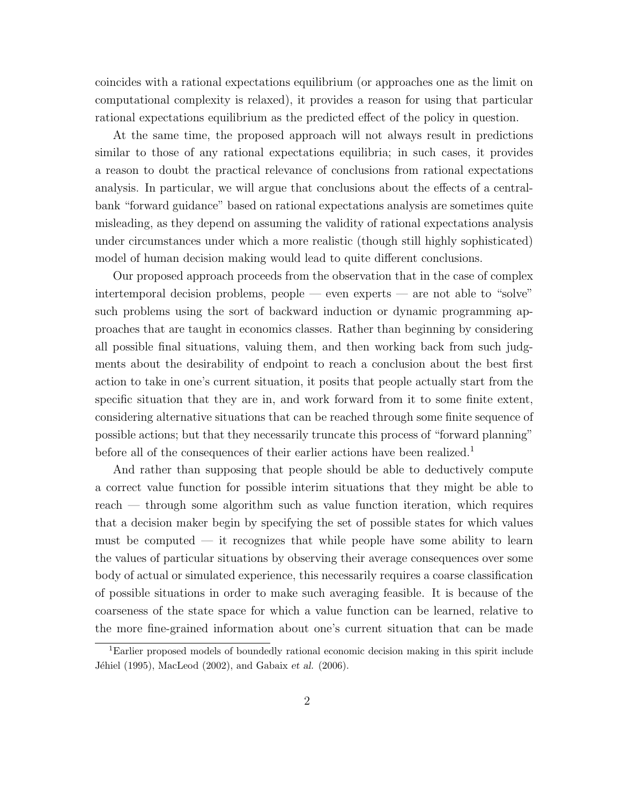coincides with a rational expectations equilibrium (or approaches one as the limit on computational complexity is relaxed), it provides a reason for using that particular rational expectations equilibrium as the predicted effect of the policy in question.

At the same time, the proposed approach will not always result in predictions similar to those of any rational expectations equilibria; in such cases, it provides a reason to doubt the practical relevance of conclusions from rational expectations analysis. In particular, we will argue that conclusions about the effects of a centralbank "forward guidance" based on rational expectations analysis are sometimes quite misleading, as they depend on assuming the validity of rational expectations analysis under circumstances under which a more realistic (though still highly sophisticated) model of human decision making would lead to quite different conclusions.

Our proposed approach proceeds from the observation that in the case of complex intertemporal decision problems, people — even experts — are not able to "solve" such problems using the sort of backward induction or dynamic programming approaches that are taught in economics classes. Rather than beginning by considering all possible final situations, valuing them, and then working back from such judgments about the desirability of endpoint to reach a conclusion about the best first action to take in one's current situation, it posits that people actually start from the specific situation that they are in, and work forward from it to some finite extent, considering alternative situations that can be reached through some finite sequence of possible actions; but that they necessarily truncate this process of "forward planning" before all of the consequences of their earlier actions have been realized.<sup>1</sup>

And rather than supposing that people should be able to deductively compute a correct value function for possible interim situations that they might be able to reach — through some algorithm such as value function iteration, which requires that a decision maker begin by specifying the set of possible states for which values must be computed — it recognizes that while people have some ability to learn the values of particular situations by observing their average consequences over some body of actual or simulated experience, this necessarily requires a coarse classification of possible situations in order to make such averaging feasible. It is because of the coarseness of the state space for which a value function can be learned, relative to the more fine-grained information about one's current situation that can be made

<sup>1</sup>Earlier proposed models of boundedly rational economic decision making in this spirit include Jéhiel (1995), MacLeod (2002), and Gabaix et al. (2006).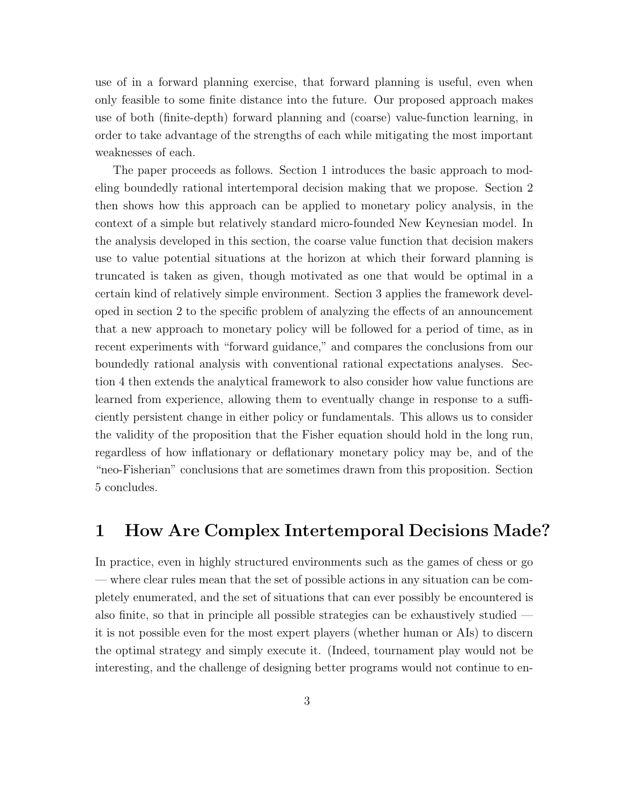use of in a forward planning exercise, that forward planning is useful, even when only feasible to some finite distance into the future. Our proposed approach makes use of both (finite-depth) forward planning and (coarse) value-function learning, in order to take advantage of the strengths of each while mitigating the most important weaknesses of each.

The paper proceeds as follows. Section 1 introduces the basic approach to modeling boundedly rational intertemporal decision making that we propose. Section 2 then shows how this approach can be applied to monetary policy analysis, in the context of a simple but relatively standard micro-founded New Keynesian model. In the analysis developed in this section, the coarse value function that decision makers use to value potential situations at the horizon at which their forward planning is truncated is taken as given, though motivated as one that would be optimal in a certain kind of relatively simple environment. Section 3 applies the framework developed in section 2 to the specific problem of analyzing the effects of an announcement that a new approach to monetary policy will be followed for a period of time, as in recent experiments with "forward guidance," and compares the conclusions from our boundedly rational analysis with conventional rational expectations analyses. Section 4 then extends the analytical framework to also consider how value functions are learned from experience, allowing them to eventually change in response to a sufficiently persistent change in either policy or fundamentals. This allows us to consider the validity of the proposition that the Fisher equation should hold in the long run, regardless of how inflationary or deflationary monetary policy may be, and of the "neo-Fisherian" conclusions that are sometimes drawn from this proposition. Section 5 concludes.

## 1 How Are Complex Intertemporal Decisions Made?

In practice, even in highly structured environments such as the games of chess or go — where clear rules mean that the set of possible actions in any situation can be completely enumerated, and the set of situations that can ever possibly be encountered is also finite, so that in principle all possible strategies can be exhaustively studied it is not possible even for the most expert players (whether human or AIs) to discern the optimal strategy and simply execute it. (Indeed, tournament play would not be interesting, and the challenge of designing better programs would not continue to en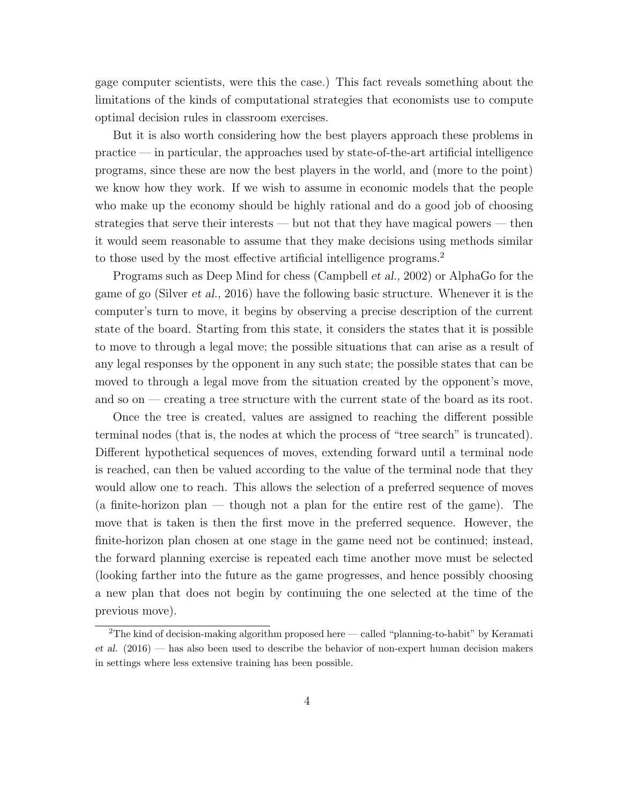gage computer scientists, were this the case.) This fact reveals something about the limitations of the kinds of computational strategies that economists use to compute optimal decision rules in classroom exercises.

But it is also worth considering how the best players approach these problems in practice — in particular, the approaches used by state-of-the-art artificial intelligence programs, since these are now the best players in the world, and (more to the point) we know how they work. If we wish to assume in economic models that the people who make up the economy should be highly rational and do a good job of choosing strategies that serve their interests — but not that they have magical powers — then it would seem reasonable to assume that they make decisions using methods similar to those used by the most effective artificial intelligence programs.<sup>2</sup>

Programs such as Deep Mind for chess (Campbell et al., 2002) or AlphaGo for the game of go (Silver et al., 2016) have the following basic structure. Whenever it is the computer's turn to move, it begins by observing a precise description of the current state of the board. Starting from this state, it considers the states that it is possible to move to through a legal move; the possible situations that can arise as a result of any legal responses by the opponent in any such state; the possible states that can be moved to through a legal move from the situation created by the opponent's move, and so on — creating a tree structure with the current state of the board as its root.

Once the tree is created, values are assigned to reaching the different possible terminal nodes (that is, the nodes at which the process of "tree search" is truncated). Different hypothetical sequences of moves, extending forward until a terminal node is reached, can then be valued according to the value of the terminal node that they would allow one to reach. This allows the selection of a preferred sequence of moves (a finite-horizon plan — though not a plan for the entire rest of the game). The move that is taken is then the first move in the preferred sequence. However, the finite-horizon plan chosen at one stage in the game need not be continued; instead, the forward planning exercise is repeated each time another move must be selected (looking farther into the future as the game progresses, and hence possibly choosing a new plan that does not begin by continuing the one selected at the time of the previous move).

 $2^2$ The kind of decision-making algorithm proposed here — called "planning-to-habit" by Keramati et al. (2016) — has also been used to describe the behavior of non-expert human decision makers in settings where less extensive training has been possible.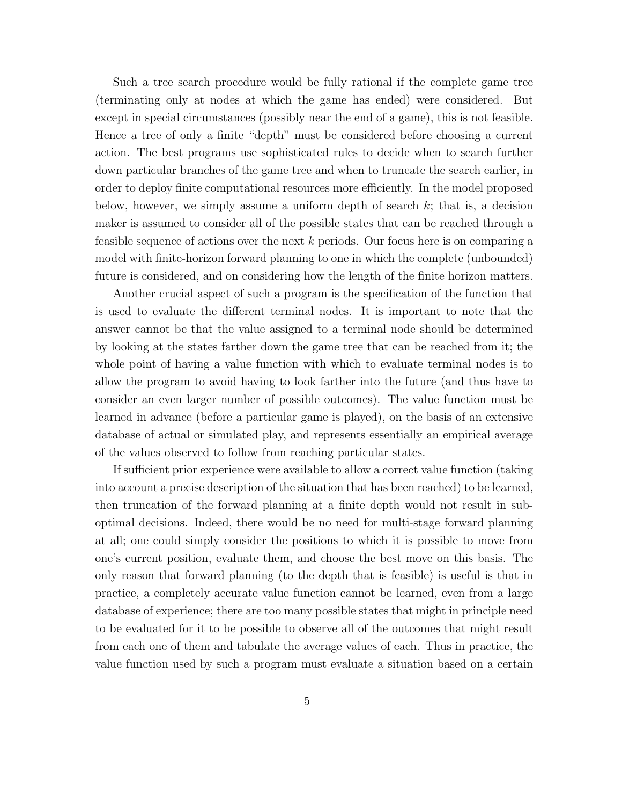Such a tree search procedure would be fully rational if the complete game tree (terminating only at nodes at which the game has ended) were considered. But except in special circumstances (possibly near the end of a game), this is not feasible. Hence a tree of only a finite "depth" must be considered before choosing a current action. The best programs use sophisticated rules to decide when to search further down particular branches of the game tree and when to truncate the search earlier, in order to deploy finite computational resources more efficiently. In the model proposed below, however, we simply assume a uniform depth of search  $k$ ; that is, a decision maker is assumed to consider all of the possible states that can be reached through a feasible sequence of actions over the next  $k$  periods. Our focus here is on comparing a model with finite-horizon forward planning to one in which the complete (unbounded) future is considered, and on considering how the length of the finite horizon matters.

Another crucial aspect of such a program is the specification of the function that is used to evaluate the different terminal nodes. It is important to note that the answer cannot be that the value assigned to a terminal node should be determined by looking at the states farther down the game tree that can be reached from it; the whole point of having a value function with which to evaluate terminal nodes is to allow the program to avoid having to look farther into the future (and thus have to consider an even larger number of possible outcomes). The value function must be learned in advance (before a particular game is played), on the basis of an extensive database of actual or simulated play, and represents essentially an empirical average of the values observed to follow from reaching particular states.

If sufficient prior experience were available to allow a correct value function (taking into account a precise description of the situation that has been reached) to be learned, then truncation of the forward planning at a finite depth would not result in suboptimal decisions. Indeed, there would be no need for multi-stage forward planning at all; one could simply consider the positions to which it is possible to move from one's current position, evaluate them, and choose the best move on this basis. The only reason that forward planning (to the depth that is feasible) is useful is that in practice, a completely accurate value function cannot be learned, even from a large database of experience; there are too many possible states that might in principle need to be evaluated for it to be possible to observe all of the outcomes that might result from each one of them and tabulate the average values of each. Thus in practice, the value function used by such a program must evaluate a situation based on a certain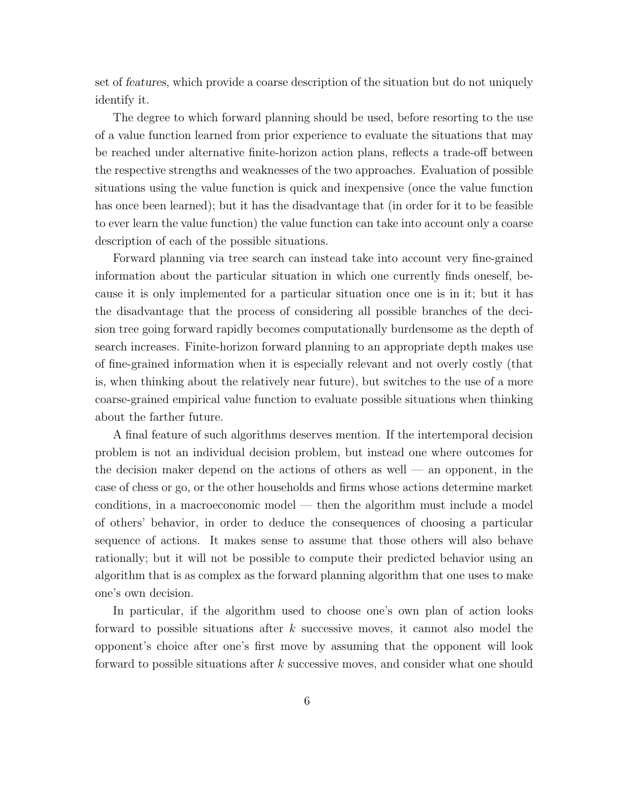set of features, which provide a coarse description of the situation but do not uniquely identify it.

The degree to which forward planning should be used, before resorting to the use of a value function learned from prior experience to evaluate the situations that may be reached under alternative finite-horizon action plans, reflects a trade-off between the respective strengths and weaknesses of the two approaches. Evaluation of possible situations using the value function is quick and inexpensive (once the value function has once been learned); but it has the disadvantage that (in order for it to be feasible to ever learn the value function) the value function can take into account only a coarse description of each of the possible situations.

Forward planning via tree search can instead take into account very fine-grained information about the particular situation in which one currently finds oneself, because it is only implemented for a particular situation once one is in it; but it has the disadvantage that the process of considering all possible branches of the decision tree going forward rapidly becomes computationally burdensome as the depth of search increases. Finite-horizon forward planning to an appropriate depth makes use of fine-grained information when it is especially relevant and not overly costly (that is, when thinking about the relatively near future), but switches to the use of a more coarse-grained empirical value function to evaluate possible situations when thinking about the farther future.

A final feature of such algorithms deserves mention. If the intertemporal decision problem is not an individual decision problem, but instead one where outcomes for the decision maker depend on the actions of others as well — an opponent, in the case of chess or go, or the other households and firms whose actions determine market conditions, in a macroeconomic model — then the algorithm must include a model of others' behavior, in order to deduce the consequences of choosing a particular sequence of actions. It makes sense to assume that those others will also behave rationally; but it will not be possible to compute their predicted behavior using an algorithm that is as complex as the forward planning algorithm that one uses to make one's own decision.

In particular, if the algorithm used to choose one's own plan of action looks forward to possible situations after k successive moves, it cannot also model the opponent's choice after one's first move by assuming that the opponent will look forward to possible situations after k successive moves, and consider what one should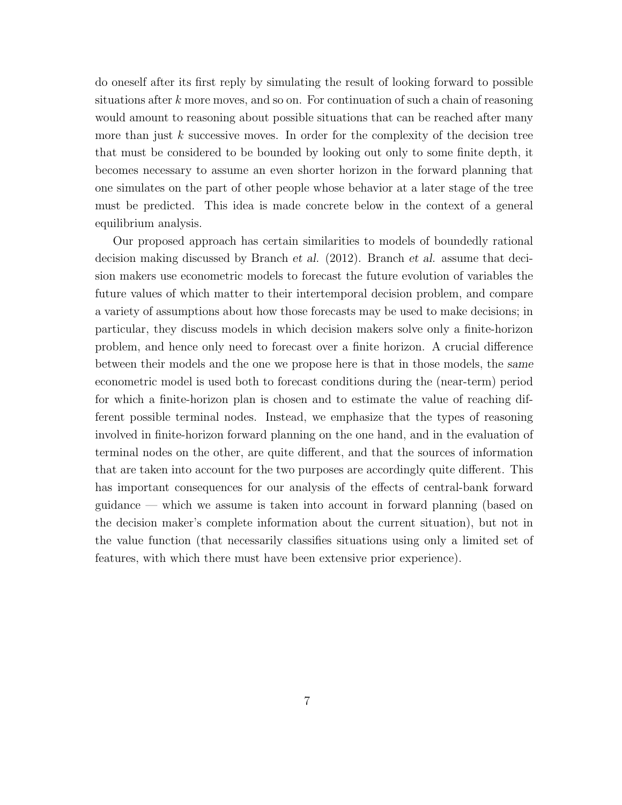do oneself after its first reply by simulating the result of looking forward to possible situations after  $k$  more moves, and so on. For continuation of such a chain of reasoning would amount to reasoning about possible situations that can be reached after many more than just  $k$  successive moves. In order for the complexity of the decision tree that must be considered to be bounded by looking out only to some finite depth, it becomes necessary to assume an even shorter horizon in the forward planning that one simulates on the part of other people whose behavior at a later stage of the tree must be predicted. This idea is made concrete below in the context of a general equilibrium analysis.

Our proposed approach has certain similarities to models of boundedly rational decision making discussed by Branch et al. (2012). Branch et al. assume that decision makers use econometric models to forecast the future evolution of variables the future values of which matter to their intertemporal decision problem, and compare a variety of assumptions about how those forecasts may be used to make decisions; in particular, they discuss models in which decision makers solve only a finite-horizon problem, and hence only need to forecast over a finite horizon. A crucial difference between their models and the one we propose here is that in those models, the same econometric model is used both to forecast conditions during the (near-term) period for which a finite-horizon plan is chosen and to estimate the value of reaching different possible terminal nodes. Instead, we emphasize that the types of reasoning involved in finite-horizon forward planning on the one hand, and in the evaluation of terminal nodes on the other, are quite different, and that the sources of information that are taken into account for the two purposes are accordingly quite different. This has important consequences for our analysis of the effects of central-bank forward guidance — which we assume is taken into account in forward planning (based on the decision maker's complete information about the current situation), but not in the value function (that necessarily classifies situations using only a limited set of features, with which there must have been extensive prior experience).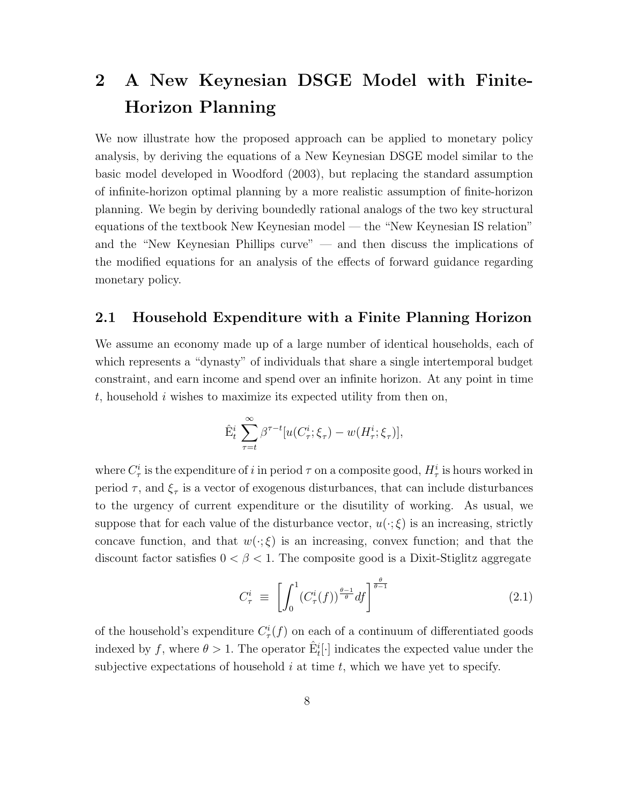# 2 A New Keynesian DSGE Model with Finite-Horizon Planning

We now illustrate how the proposed approach can be applied to monetary policy analysis, by deriving the equations of a New Keynesian DSGE model similar to the basic model developed in Woodford (2003), but replacing the standard assumption of infinite-horizon optimal planning by a more realistic assumption of finite-horizon planning. We begin by deriving boundedly rational analogs of the two key structural equations of the textbook New Keynesian model — the "New Keynesian IS relation" and the "New Keynesian Phillips curve" — and then discuss the implications of the modified equations for an analysis of the effects of forward guidance regarding monetary policy.

## 2.1 Household Expenditure with a Finite Planning Horizon

We assume an economy made up of a large number of identical households, each of which represents a "dynasty" of individuals that share a single intertemporal budget constraint, and earn income and spend over an infinite horizon. At any point in time t, household i wishes to maximize its expected utility from then on,

$$
\hat{\mathbf{E}}_t^i \sum_{\tau=t}^{\infty} \beta^{\tau-t} [u(C_{\tau}^i; \xi_{\tau}) - w(H_{\tau}^i; \xi_{\tau})],
$$

where  $C^i_\tau$  is the expenditure of i in period  $\tau$  on a composite good,  $H^i_\tau$  is hours worked in period  $\tau$ , and  $\xi_{\tau}$  is a vector of exogenous disturbances, that can include disturbances to the urgency of current expenditure or the disutility of working. As usual, we suppose that for each value of the disturbance vector,  $u(\cdot;\xi)$  is an increasing, strictly concave function, and that  $w(\cdot;\xi)$  is an increasing, convex function; and that the discount factor satisfies  $0 < \beta < 1$ . The composite good is a Dixit-Stiglitz aggregate

$$
C_{\tau}^{i} \equiv \left[ \int_{0}^{1} (C_{\tau}^{i}(f))^{\frac{\theta-1}{\theta}} df \right]^{\frac{\theta}{\theta-1}}
$$
(2.1)

of the household's expenditure  $C^i_\tau(f)$  on each of a continuum of differentiated goods indexed by f, where  $\theta > 1$ . The operator  $\hat{E}_t^i[\cdot]$  indicates the expected value under the subjective expectations of household  $i$  at time  $t$ , which we have yet to specify.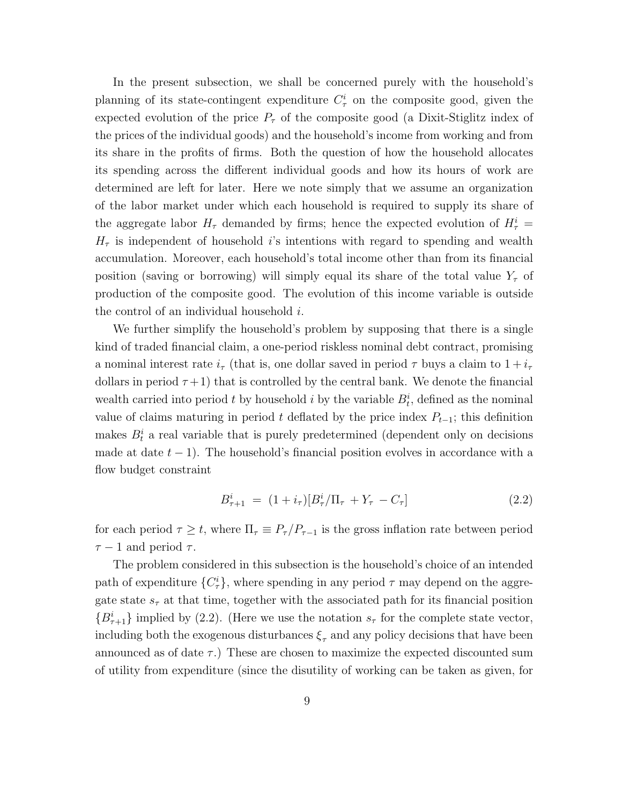In the present subsection, we shall be concerned purely with the household's planning of its state-contingent expenditure  $C^i_\tau$  on the composite good, given the expected evolution of the price  $P_{\tau}$  of the composite good (a Dixit-Stiglitz index of the prices of the individual goods) and the household's income from working and from its share in the profits of firms. Both the question of how the household allocates its spending across the different individual goods and how its hours of work are determined are left for later. Here we note simply that we assume an organization of the labor market under which each household is required to supply its share of the aggregate labor  $H_{\tau}$  demanded by firms; hence the expected evolution of  $H_{\tau}^{i}$  =  $H_{\tau}$  is independent of household *i*'s intentions with regard to spending and wealth accumulation. Moreover, each household's total income other than from its financial position (saving or borrowing) will simply equal its share of the total value  $Y_\tau$  of production of the composite good. The evolution of this income variable is outside the control of an individual household  $i$ .

We further simplify the household's problem by supposing that there is a single kind of traded financial claim, a one-period riskless nominal debt contract, promising a nominal interest rate  $i_{\tau}$  (that is, one dollar saved in period  $\tau$  buys a claim to  $1 + i_{\tau}$ dollars in period  $\tau$  +1) that is controlled by the central bank. We denote the financial wealth carried into period t by household i by the variable  $B_t^i$ , defined as the nominal value of claims maturing in period t deflated by the price index  $P_{t-1}$ ; this definition makes  $B_t^i$  a real variable that is purely predetermined (dependent only on decisions made at date  $t - 1$ ). The household's financial position evolves in accordance with a flow budget constraint

$$
B_{\tau+1}^i = (1 + i_\tau)[B_\tau^i / \Pi_\tau + Y_\tau - C_\tau] \tag{2.2}
$$

for each period  $\tau \geq t$ , where  $\Pi_{\tau} \equiv P_{\tau}/P_{\tau-1}$  is the gross inflation rate between period  $\tau - 1$  and period  $\tau$ .

The problem considered in this subsection is the household's choice of an intended path of expenditure  $\{C^i_{\tau}\}\$ , where spending in any period  $\tau$  may depend on the aggregate state  $s<sub>\tau</sub>$  at that time, together with the associated path for its financial position  ${B_{\tau+1}^i}$  implied by (2.2). (Here we use the notation  $s_{\tau}$  for the complete state vector, including both the exogenous disturbances  $\xi_{\tau}$  and any policy decisions that have been announced as of date  $\tau$ .) These are chosen to maximize the expected discounted sum of utility from expenditure (since the disutility of working can be taken as given, for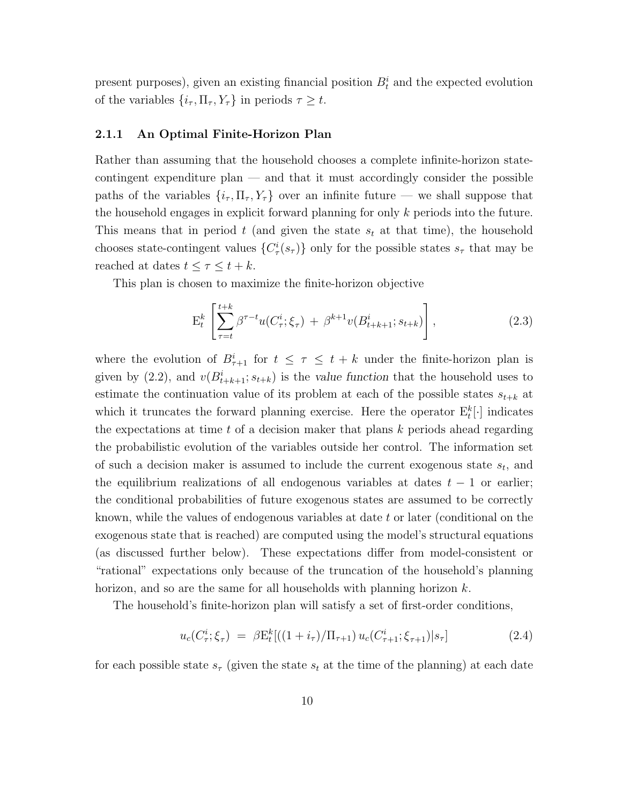present purposes), given an existing financial position  $B_t^i$  and the expected evolution of the variables  $\{i_{\tau}, \Pi_{\tau}, Y_{\tau}\}\$ in periods  $\tau \geq t$ .

### 2.1.1 An Optimal Finite-Horizon Plan

Rather than assuming that the household chooses a complete infinite-horizon statecontingent expenditure plan — and that it must accordingly consider the possible paths of the variables  $\{i_\tau, \Pi_\tau, Y_\tau\}$  over an infinite future — we shall suppose that the household engages in explicit forward planning for only k periods into the future. This means that in period t (and given the state  $s_t$  at that time), the household chooses state-contingent values  $\{C^i_\tau(s_\tau)\}\$  only for the possible states  $s_\tau$  that may be reached at dates  $t \leq \tau \leq t + k$ .

This plan is chosen to maximize the finite-horizon objective

$$
E_t^k \left[ \sum_{\tau=t}^{t+k} \beta^{\tau-t} u(C_\tau^i; \xi_\tau) + \beta^{k+1} v(B_{t+k+1}^i; s_{t+k}) \right], \tag{2.3}
$$

where the evolution of  $B_{\tau+1}^i$  for  $t \leq \tau \leq t+k$  under the finite-horizon plan is given by (2.2), and  $v(B_{t+k+1}; s_{t+k})$  is the value function that the household uses to estimate the continuation value of its problem at each of the possible states  $s_{t+k}$  at which it truncates the forward planning exercise. Here the operator  $E_t^k[\cdot]$  indicates the expectations at time  $t$  of a decision maker that plans  $k$  periods ahead regarding the probabilistic evolution of the variables outside her control. The information set of such a decision maker is assumed to include the current exogenous state  $s_t$ , and the equilibrium realizations of all endogenous variables at dates  $t - 1$  or earlier; the conditional probabilities of future exogenous states are assumed to be correctly known, while the values of endogenous variables at date  $t$  or later (conditional on the exogenous state that is reached) are computed using the model's structural equations (as discussed further below). These expectations differ from model-consistent or "rational" expectations only because of the truncation of the household's planning horizon, and so are the same for all households with planning horizon k.

The household's finite-horizon plan will satisfy a set of first-order conditions,

$$
u_c(C^i_\tau; \xi_\tau) = \beta \mathcal{E}^k_t[((1+i_\tau)/\Pi_{\tau+1}) u_c(C^i_{\tau+1}; \xi_{\tau+1}) | s_\tau]
$$
\n(2.4)

for each possible state  $s_{\tau}$  (given the state  $s_t$  at the time of the planning) at each date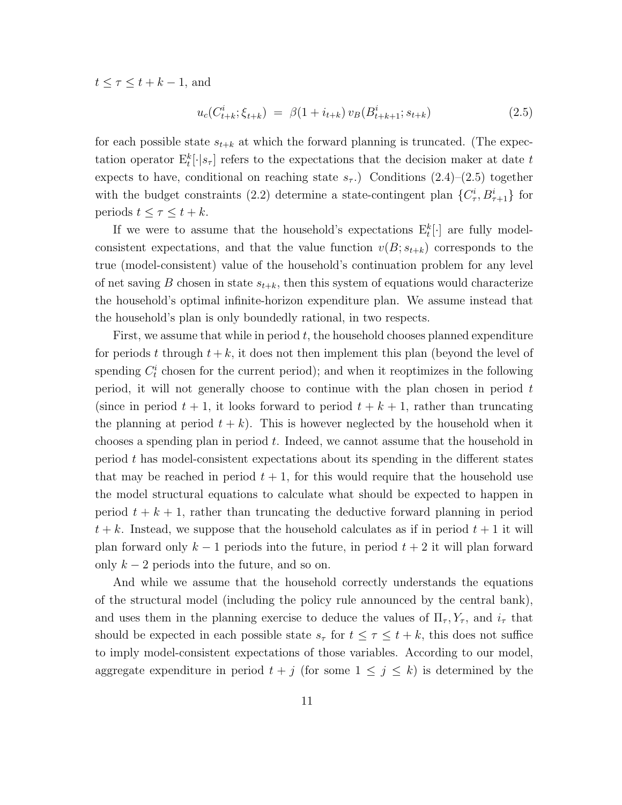$t \leq \tau \leq t + k - 1$ , and

$$
u_c(C_{t+k}^i; \xi_{t+k}) = \beta(1 + i_{t+k}) v_B(B_{t+k+1}^i; s_{t+k}) \tag{2.5}
$$

for each possible state  $s_{t+k}$  at which the forward planning is truncated. (The expectation operator  $E_t^k[\cdot | s_\tau]$  refers to the expectations that the decision maker at date t expects to have, conditional on reaching state  $s_{\tau}$ . Conditions (2.4)–(2.5) together with the budget constraints (2.2) determine a state-contingent plan  $\{C^i_\tau, B^i_{\tau+1}\}$  for periods  $t \leq \tau \leq t + k$ .

If we were to assume that the household's expectations  $E_t^k[\cdot]$  are fully modelconsistent expectations, and that the value function  $v(B; s_{t+k})$  corresponds to the true (model-consistent) value of the household's continuation problem for any level of net saving B chosen in state  $s_{t+k}$ , then this system of equations would characterize the household's optimal infinite-horizon expenditure plan. We assume instead that the household's plan is only boundedly rational, in two respects.

First, we assume that while in period  $t$ , the household chooses planned expenditure for periods t through  $t + k$ , it does not then implement this plan (beyond the level of spending  $C_t^i$  chosen for the current period); and when it reoptimizes in the following period, it will not generally choose to continue with the plan chosen in period t (since in period  $t + 1$ , it looks forward to period  $t + k + 1$ , rather than truncating the planning at period  $t + k$ ). This is however neglected by the household when it chooses a spending plan in period  $t$ . Indeed, we cannot assume that the household in period t has model-consistent expectations about its spending in the different states that may be reached in period  $t + 1$ , for this would require that the household use the model structural equations to calculate what should be expected to happen in period  $t + k + 1$ , rather than truncating the deductive forward planning in period  $t + k$ . Instead, we suppose that the household calculates as if in period  $t + 1$  it will plan forward only  $k-1$  periods into the future, in period  $t+2$  it will plan forward only  $k-2$  periods into the future, and so on.

And while we assume that the household correctly understands the equations of the structural model (including the policy rule announced by the central bank), and uses them in the planning exercise to deduce the values of  $\Pi_{\tau}$ ,  $Y_{\tau}$ , and  $i_{\tau}$  that should be expected in each possible state  $s_{\tau}$  for  $t \leq \tau \leq t + k$ , this does not suffice to imply model-consistent expectations of those variables. According to our model, aggregate expenditure in period  $t + j$  (for some  $1 \leq j \leq k$ ) is determined by the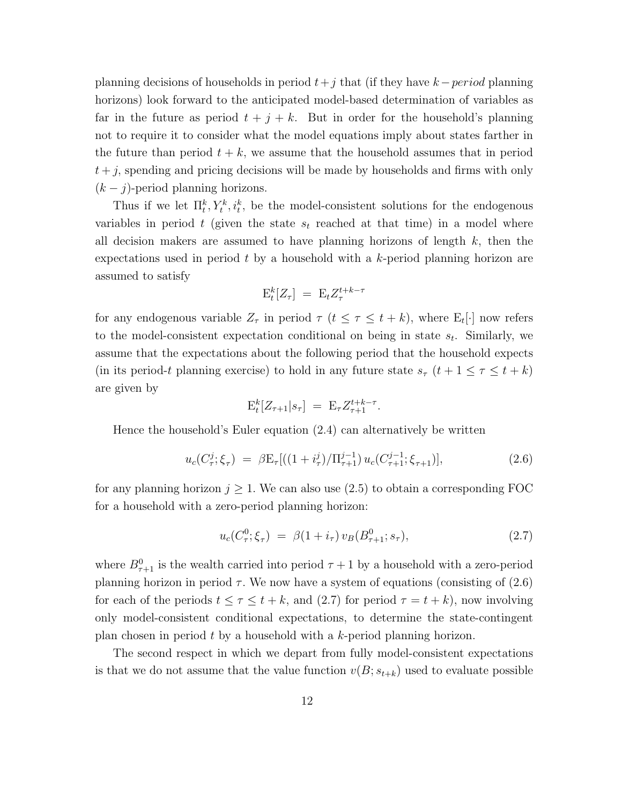planning decisions of households in period  $t+j$  that (if they have  $k-period$  planning horizons) look forward to the anticipated model-based determination of variables as far in the future as period  $t + j + k$ . But in order for the household's planning not to require it to consider what the model equations imply about states farther in the future than period  $t + k$ , we assume that the household assumes that in period  $t + j$ , spending and pricing decisions will be made by households and firms with only  $(k - j)$ -period planning horizons.

Thus if we let  $\Pi_t^k$ ,  $Y_t^k$ ,  $i_t^k$ , be the model-consistent solutions for the endogenous variables in period t (given the state  $s_t$  reached at that time) in a model where all decision makers are assumed to have planning horizons of length  $k$ , then the expectations used in period  $t$  by a household with a  $k$ -period planning horizon are assumed to satisfy

$$
\mathbf{E}_t^k[Z_\tau] = \mathbf{E}_t Z_\tau^{t+k-\tau}
$$

for any endogenous variable  $Z_{\tau}$  in period  $\tau$  ( $t \leq \tau \leq t + k$ ), where  $E_t[\cdot]$  now refers to the model-consistent expectation conditional on being in state  $s_t$ . Similarly, we assume that the expectations about the following period that the household expects (in its period-t planning exercise) to hold in any future state  $s_{\tau}$   $(t + 1 \leq \tau \leq t + k)$ are given by

$$
E_t^k[Z_{\tau+1}|s_{\tau}] = E_{\tau} Z_{\tau+1}^{t+k-\tau}.
$$

Hence the household's Euler equation (2.4) can alternatively be written

$$
u_c(C_\tau^j; \xi_\tau) = \beta \mathcal{E}_\tau [((1+i_\tau^j)/\Pi_{\tau+1}^{j-1}) u_c(C_{\tau+1}^{j-1}; \xi_{\tau+1})], \tag{2.6}
$$

for any planning horizon  $j \geq 1$ . We can also use  $(2.5)$  to obtain a corresponding FOC for a household with a zero-period planning horizon:

$$
u_c(C_\tau^0; \xi_\tau) = \beta(1 + i_\tau) v_B(B_{\tau+1}^0; s_\tau), \tag{2.7}
$$

where  $B_{\tau+1}^0$  is the wealth carried into period  $\tau+1$  by a household with a zero-period planning horizon in period  $\tau$ . We now have a system of equations (consisting of (2.6) for each of the periods  $t \leq \tau \leq t + k$ , and (2.7) for period  $\tau = t + k$ ), now involving only model-consistent conditional expectations, to determine the state-contingent plan chosen in period t by a household with a k-period planning horizon.

The second respect in which we depart from fully model-consistent expectations is that we do not assume that the value function  $v(B; s_{t+k})$  used to evaluate possible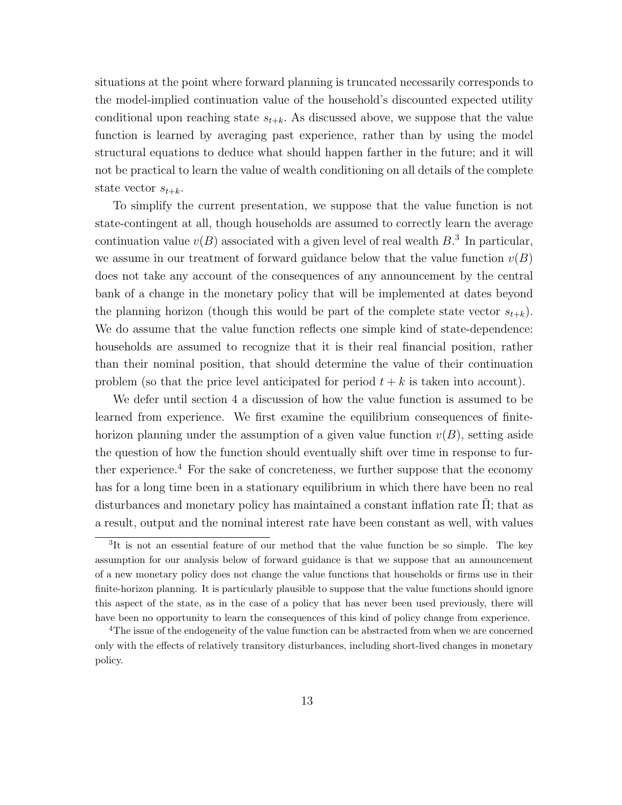situations at the point where forward planning is truncated necessarily corresponds to the model-implied continuation value of the household's discounted expected utility conditional upon reaching state  $s_{t+k}$ . As discussed above, we suppose that the value function is learned by averaging past experience, rather than by using the model structural equations to deduce what should happen farther in the future; and it will not be practical to learn the value of wealth conditioning on all details of the complete state vector  $s_{t+k}$ .

To simplify the current presentation, we suppose that the value function is not state-contingent at all, though households are assumed to correctly learn the average continuation value  $v(B)$  associated with a given level of real wealth  $B$ <sup>3</sup>. In particular, we assume in our treatment of forward guidance below that the value function  $v(B)$ does not take any account of the consequences of any announcement by the central bank of a change in the monetary policy that will be implemented at dates beyond the planning horizon (though this would be part of the complete state vector  $s_{t+k}$ ). We do assume that the value function reflects one simple kind of state-dependence: households are assumed to recognize that it is their real financial position, rather than their nominal position, that should determine the value of their continuation problem (so that the price level anticipated for period  $t + k$  is taken into account).

We defer until section 4 a discussion of how the value function is assumed to be learned from experience. We first examine the equilibrium consequences of finitehorizon planning under the assumption of a given value function  $v(B)$ , setting aside the question of how the function should eventually shift over time in response to further experience.<sup>4</sup> For the sake of concreteness, we further suppose that the economy has for a long time been in a stationary equilibrium in which there have been no real disturbances and monetary policy has maintained a constant inflation rate  $\Pi$ ; that as a result, output and the nominal interest rate have been constant as well, with values

<sup>&</sup>lt;sup>3</sup>It is not an essential feature of our method that the value function be so simple. The key assumption for our analysis below of forward guidance is that we suppose that an announcement of a new monetary policy does not change the value functions that households or firms use in their finite-horizon planning. It is particularly plausible to suppose that the value functions should ignore this aspect of the state, as in the case of a policy that has never been used previously, there will have been no opportunity to learn the consequences of this kind of policy change from experience.

<sup>&</sup>lt;sup>4</sup>The issue of the endogeneity of the value function can be abstracted from when we are concerned only with the effects of relatively transitory disturbances, including short-lived changes in monetary policy.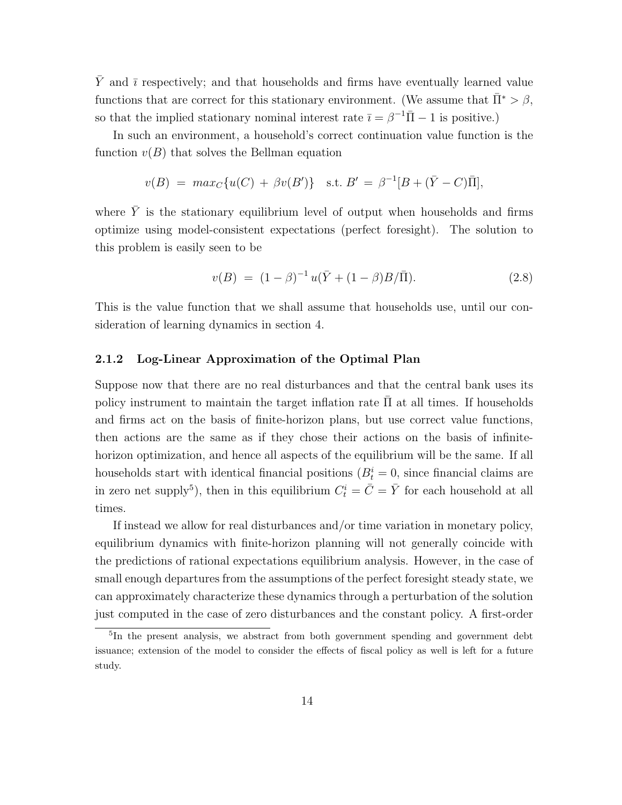$\bar{Y}$  and  $\bar{i}$  respectively; and that households and firms have eventually learned value functions that are correct for this stationary environment. (We assume that  $\overline{\Pi}^* > \beta$ , so that the implied stationary nominal interest rate  $\bar{\imath} = \beta^{-1} \bar{\Pi} - 1$  is positive.)

In such an environment, a household's correct continuation value function is the function  $v(B)$  that solves the Bellman equation

$$
v(B) = max_C \{u(C) + \beta v(B')\}
$$
 s.t.  $B' = \beta^{-1}[B + (\bar{Y} - C)\bar{\Pi}],$ 

where  $\bar{Y}$  is the stationary equilibrium level of output when households and firms optimize using model-consistent expectations (perfect foresight). The solution to this problem is easily seen to be

$$
v(B) = (1 - \beta)^{-1} u(\bar{Y} + (1 - \beta)B/\bar{\Pi}).
$$
\n(2.8)

This is the value function that we shall assume that households use, until our consideration of learning dynamics in section 4.

### 2.1.2 Log-Linear Approximation of the Optimal Plan

Suppose now that there are no real disturbances and that the central bank uses its policy instrument to maintain the target inflation rate  $\overline{\Pi}$  at all times. If households and firms act on the basis of finite-horizon plans, but use correct value functions, then actions are the same as if they chose their actions on the basis of infinitehorizon optimization, and hence all aspects of the equilibrium will be the same. If all households start with identical financial positions  $(B_t^i = 0)$ , since financial claims are in zero net supply<sup>5</sup>), then in this equilibrium  $C_t^i = \overline{C} = \overline{Y}$  for each household at all times.

If instead we allow for real disturbances and/or time variation in monetary policy, equilibrium dynamics with finite-horizon planning will not generally coincide with the predictions of rational expectations equilibrium analysis. However, in the case of small enough departures from the assumptions of the perfect foresight steady state, we can approximately characterize these dynamics through a perturbation of the solution just computed in the case of zero disturbances and the constant policy. A first-order

<sup>&</sup>lt;sup>5</sup>In the present analysis, we abstract from both government spending and government debt issuance; extension of the model to consider the effects of fiscal policy as well is left for a future study.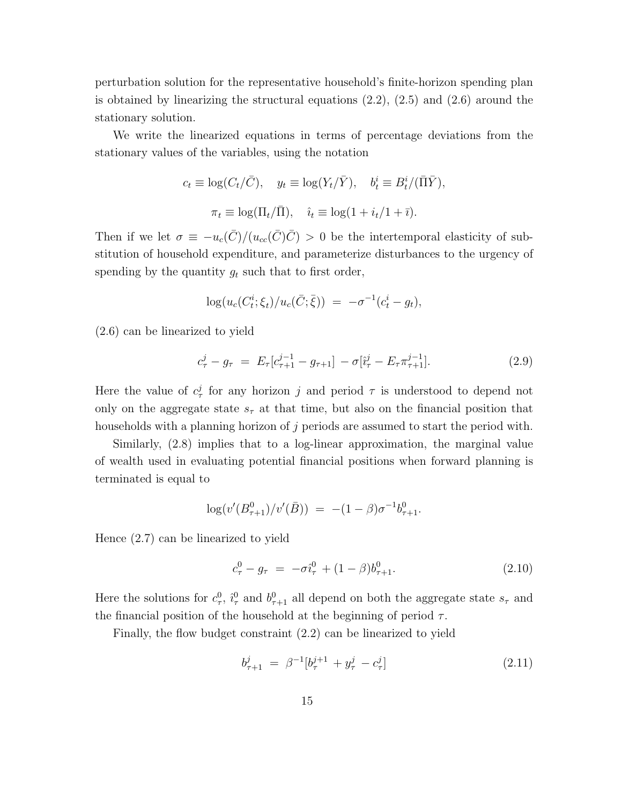perturbation solution for the representative household's finite-horizon spending plan is obtained by linearizing the structural equations  $(2.2)$ ,  $(2.5)$  and  $(2.6)$  around the stationary solution.

We write the linearized equations in terms of percentage deviations from the stationary values of the variables, using the notation

$$
c_t \equiv \log(C_t/\bar{C}), \quad y_t \equiv \log(Y_t/\bar{Y}), \quad b_t^i \equiv B_t^i/(\bar{\Pi}\bar{Y}),
$$

$$
\pi_t \equiv \log(\Pi_t/\bar{\Pi}), \quad \hat{i}_t \equiv \log(1 + i_t/1 + \bar{i}).
$$

Then if we let  $\sigma \equiv -u_c(\bar{C})/(u_{cc}(\bar{C})\bar{C}) > 0$  be the intertemporal elasticity of substitution of household expenditure, and parameterize disturbances to the urgency of spending by the quantity  $g_t$  such that to first order,

$$
\log(u_c(C_t^i; \xi_t)/u_c(\bar{C}; \bar{\xi})) = -\sigma^{-1}(c_t^i - g_t),
$$

(2.6) can be linearized to yield

$$
c_{\tau}^{j} - g_{\tau} = E_{\tau} [c_{\tau+1}^{j-1} - g_{\tau+1}] - \sigma [\hat{i}_{\tau}^{j} - E_{\tau} \pi_{\tau+1}^{j-1}]. \tag{2.9}
$$

Here the value of  $c^j_\tau$  for any horizon j and period  $\tau$  is understood to depend not only on the aggregate state  $s<sub>\tau</sub>$  at that time, but also on the financial position that households with a planning horizon of j periods are assumed to start the period with.

Similarly, (2.8) implies that to a log-linear approximation, the marginal value of wealth used in evaluating potential financial positions when forward planning is terminated is equal to

$$
\log (v'(B^0_{\tau+1})/v'(\bar{B})) \ = \ -(1-\beta)\sigma^{-1}b^0_{\tau+1}.
$$

Hence (2.7) can be linearized to yield

$$
c_{\tau}^{0} - g_{\tau} = -\sigma \hat{i}_{\tau}^{0} + (1 - \beta)b_{\tau+1}^{0}.
$$
\n(2.10)

Here the solutions for  $c_{\tau}^0$ ,  $\hat{i}_{\tau}^0$  and  $b_{\tau+1}^0$  all depend on both the aggregate state  $s_{\tau}$  and the financial position of the household at the beginning of period  $\tau$ .

Finally, the flow budget constraint (2.2) can be linearized to yield

$$
b_{\tau+1}^j = \beta^{-1} [b_{\tau}^{j+1} + y_{\tau}^j - c_{\tau}^j]
$$
 (2.11)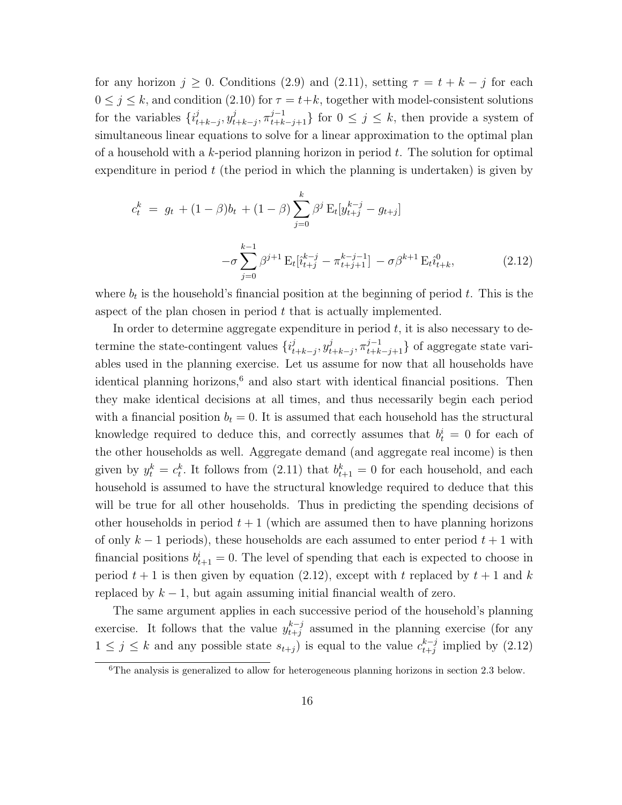for any horizon  $j \geq 0$ . Conditions (2.9) and (2.11), setting  $\tau = t + k - j$  for each  $0 \leq j \leq k$ , and condition (2.10) for  $\tau = t+k$ , together with model-consistent solutions for the variables  $\{i_t^j\}$  $j_{t+k-j}$ ,  $y_t^j$  $\{\vec{t}_{t+k-j}, \pi^{j-1}_{t+k-j+1}\}$  for  $0 \leq j \leq k$ , then provide a system of simultaneous linear equations to solve for a linear approximation to the optimal plan of a household with a k-period planning horizon in period  $t$ . The solution for optimal expenditure in period  $t$  (the period in which the planning is undertaken) is given by

$$
c_t^k = g_t + (1 - \beta)b_t + (1 - \beta) \sum_{j=0}^k \beta^j \mathbf{E}_t[y_{t+j}^{k-j} - g_{t+j}]
$$

$$
- \sigma \sum_{j=0}^{k-1} \beta^{j+1} \mathbf{E}_t[i_{t+j}^{k-j} - \pi_{t+j+1}^{k-j-1}] - \sigma \beta^{k+1} \mathbf{E}_t \hat{i}_{t+k}^0, \tag{2.12}
$$

where  $b_t$  is the household's financial position at the beginning of period t. This is the aspect of the plan chosen in period  $t$  that is actually implemented.

In order to determine aggregate expenditure in period  $t$ , it is also necessary to determine the state-contingent values  $\{i_t^j\}$  $j_{t+k-j}$ ,  $y_t^j$  $\{t+k-j}, \pi^{j-1}_{t+k-j+1}\}$  of aggregate state variables used in the planning exercise. Let us assume for now that all households have identical planning horizons,<sup>6</sup> and also start with identical financial positions. Then they make identical decisions at all times, and thus necessarily begin each period with a financial position  $b_t = 0$ . It is assumed that each household has the structural knowledge required to deduce this, and correctly assumes that  $b_t^i = 0$  for each of the other households as well. Aggregate demand (and aggregate real income) is then given by  $y_t^k = c_t^k$ . It follows from (2.11) that  $b_{t+1}^k = 0$  for each household, and each household is assumed to have the structural knowledge required to deduce that this will be true for all other households. Thus in predicting the spending decisions of other households in period  $t + 1$  (which are assumed then to have planning horizons of only  $k-1$  periods), these households are each assumed to enter period  $t+1$  with financial positions  $b_{t+1}^i = 0$ . The level of spending that each is expected to choose in period  $t + 1$  is then given by equation (2.12), except with t replaced by  $t + 1$  and k replaced by  $k - 1$ , but again assuming initial financial wealth of zero.

The same argument applies in each successive period of the household's planning exercise. It follows that the value  $y_{t+i}^{k-j}$  $_{t+j}^{k-j}$  assumed in the planning exercise (for any  $1 \leq j \leq k$  and any possible state  $s_{t+j}$  is equal to the value  $c_{t+j}^{k-j}$  $_{t+j}^{k-j}$  implied by  $(2.12)$ 

<sup>6</sup>The analysis is generalized to allow for heterogeneous planning horizons in section 2.3 below.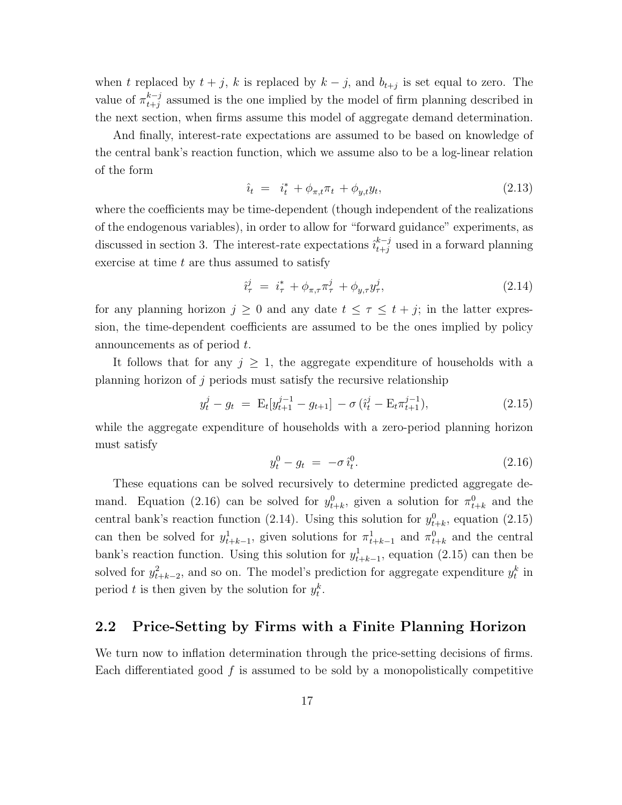when t replaced by  $t + j$ , k is replaced by  $k - j$ , and  $b_{t+j}$  is set equal to zero. The value of  $\pi^{k-j}_{t+j}$  $_{t+j}^{k-j}$  assumed is the one implied by the model of firm planning described in the next section, when firms assume this model of aggregate demand determination.

And finally, interest-rate expectations are assumed to be based on knowledge of the central bank's reaction function, which we assume also to be a log-linear relation of the form

$$
\hat{u}_t = i_t^* + \phi_{\pi, t} \pi_t + \phi_{y, t} y_t, \tag{2.13}
$$

where the coefficients may be time-dependent (though independent of the realizations of the endogenous variables), in order to allow for "forward guidance" experiments, as discussed in section 3. The interest-rate expectations  $\hat{i}_{t+j}^{k-j}$  used in a forward planning exercise at time  $t$  are thus assumed to satisfy

$$
\hat{i}^j_\tau = i^*_\tau + \phi_{\pi,\tau}\pi^j_\tau + \phi_{y,\tau}y^j_\tau,\tag{2.14}
$$

for any planning horizon  $j \geq 0$  and any date  $t \leq \tau \leq t + j$ ; in the latter expression, the time-dependent coefficients are assumed to be the ones implied by policy announcements as of period t.

It follows that for any  $j \geq 1$ , the aggregate expenditure of households with a planning horizon of j periods must satisfy the recursive relationship

$$
y_t^j - g_t = \mathcal{E}_t[y_{t+1}^{j-1} - g_{t+1}] - \sigma(\hat{i}_t^j - \mathcal{E}_t \pi_{t+1}^{j-1}), \qquad (2.15)
$$

while the aggregate expenditure of households with a zero-period planning horizon must satisfy

$$
y_t^0 - g_t = -\sigma \hat{i}_t^0. \tag{2.16}
$$

These equations can be solved recursively to determine predicted aggregate demand. Equation (2.16) can be solved for  $y_{t+k}^0$ , given a solution for  $\pi_{t+k}^0$  and the central bank's reaction function (2.14). Using this solution for  $y_{t+k}^0$ , equation (2.15) can then be solved for  $y_{t+k-1}^1$ , given solutions for  $\pi_{t+k-1}^1$  and  $\pi_{t+k}^0$  and the central bank's reaction function. Using this solution for  $y_{t+k-1}^1$ , equation (2.15) can then be solved for  $y_{t+k-2}^2$ , and so on. The model's prediction for aggregate expenditure  $y_t^k$  in period t is then given by the solution for  $y_t^k$ .

### 2.2 Price-Setting by Firms with a Finite Planning Horizon

We turn now to inflation determination through the price-setting decisions of firms. Each differentiated good  $f$  is assumed to be sold by a monopolistically competitive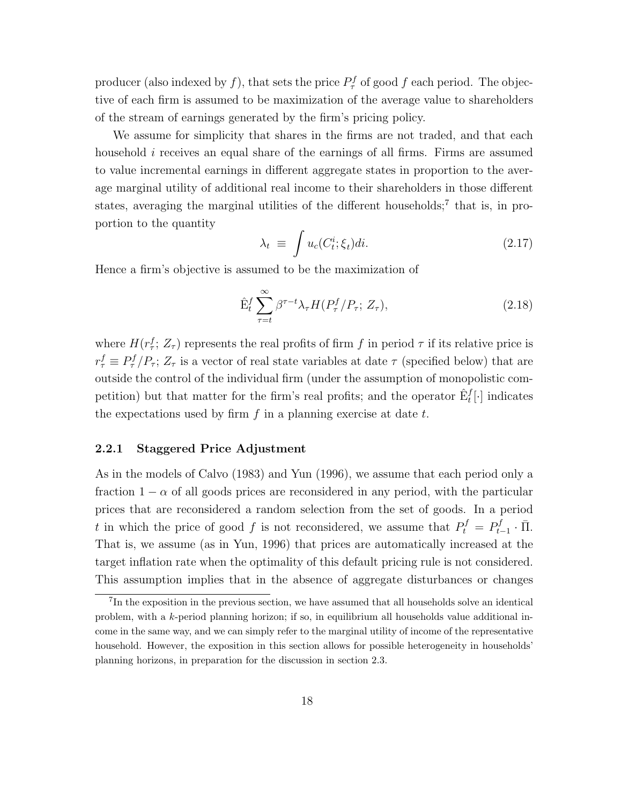producer (also indexed by f), that sets the price  $P^f_\tau$  of good f each period. The objective of each firm is assumed to be maximization of the average value to shareholders of the stream of earnings generated by the firm's pricing policy.

We assume for simplicity that shares in the firms are not traded, and that each household  $i$  receives an equal share of the earnings of all firms. Firms are assumed to value incremental earnings in different aggregate states in proportion to the average marginal utility of additional real income to their shareholders in those different states, averaging the marginal utilities of the different households;<sup>7</sup> that is, in proportion to the quantity

$$
\lambda_t \equiv \int u_c(C_t^i; \xi_t)di. \tag{2.17}
$$

Hence a firm's objective is assumed to be the maximization of

$$
\hat{\mathbf{E}}_t^f \sum_{\tau=t}^{\infty} \beta^{\tau-t} \lambda_{\tau} H(P_{\tau}^f / P_{\tau}; Z_{\tau}), \qquad (2.18)
$$

where  $H(r_{\tau}^{f}; Z_{\tau})$  represents the real profits of firm f in period  $\tau$  if its relative price is  $r_{\tau}^{f} \equiv P_{\tau}^{f}/P_{\tau}$ ;  $Z_{\tau}$  is a vector of real state variables at date  $\tau$  (specified below) that are outside the control of the individual firm (under the assumption of monopolistic competition) but that matter for the firm's real profits; and the operator  $\hat{\mathbf{E}}_t^f[\cdot]$  indicates the expectations used by firm  $f$  in a planning exercise at date  $t$ .

### 2.2.1 Staggered Price Adjustment

As in the models of Calvo (1983) and Yun (1996), we assume that each period only a fraction  $1 - \alpha$  of all goods prices are reconsidered in any period, with the particular prices that are reconsidered a random selection from the set of goods. In a period t in which the price of good f is not reconsidered, we assume that  $P_t^f = P_t^f$ .  $\Phi_{t-1}^f \cdot \bar{\Pi}.$ That is, we assume (as in Yun, 1996) that prices are automatically increased at the target inflation rate when the optimality of this default pricing rule is not considered. This assumption implies that in the absence of aggregate disturbances or changes

<sup>&</sup>lt;sup>7</sup>In the exposition in the previous section, we have assumed that all households solve an identical problem, with a k-period planning horizon; if so, in equilibrium all households value additional income in the same way, and we can simply refer to the marginal utility of income of the representative household. However, the exposition in this section allows for possible heterogeneity in households' planning horizons, in preparation for the discussion in section 2.3.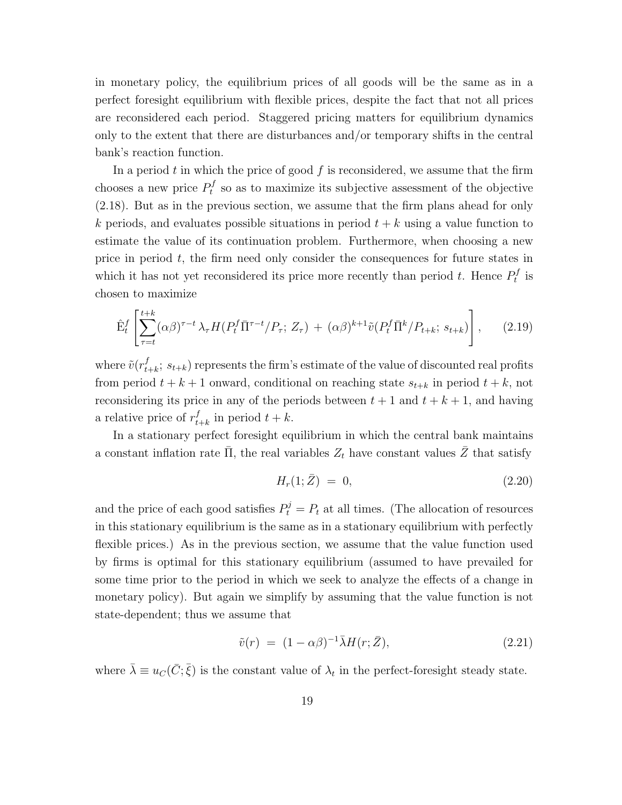in monetary policy, the equilibrium prices of all goods will be the same as in a perfect foresight equilibrium with flexible prices, despite the fact that not all prices are reconsidered each period. Staggered pricing matters for equilibrium dynamics only to the extent that there are disturbances and/or temporary shifts in the central bank's reaction function.

In a period  $t$  in which the price of good  $f$  is reconsidered, we assume that the firm chooses a new price  $P_t^f$  $t_t^{(s)}$  so as to maximize its subjective assessment of the objective (2.18). But as in the previous section, we assume that the firm plans ahead for only k periods, and evaluates possible situations in period  $t + k$  using a value function to estimate the value of its continuation problem. Furthermore, when choosing a new price in period  $t$ , the firm need only consider the consequences for future states in which it has not yet reconsidered its price more recently than period t. Hence  $P_t^f$  $t^{J}$  is chosen to maximize

$$
\hat{\mathbf{E}}_t^f \left[ \sum_{\tau=t}^{t+k} (\alpha \beta)^{\tau-t} \lambda_\tau H(P_t^f \bar{\Pi}^{\tau-t} / P_\tau; Z_\tau) + (\alpha \beta)^{k+1} \tilde{v}(P_t^f \bar{\Pi}^k / P_{t+k}; s_{t+k}) \right], \qquad (2.19)
$$

where  $\tilde{v}(r_t^f)$  $_{t+k}^{f}$ ;  $s_{t+k}$ ) represents the firm's estimate of the value of discounted real profits from period  $t + k + 1$  onward, conditional on reaching state  $s_{t+k}$  in period  $t+k$ , not reconsidering its price in any of the periods between  $t + 1$  and  $t + k + 1$ , and having a relative price of  $r_t^f$  $t_{t+k}$  in period  $t+k$ .

In a stationary perfect foresight equilibrium in which the central bank maintains a constant inflation rate  $\bar{\Pi}$ , the real variables  $Z_t$  have constant values  $\bar{Z}$  that satisfy

$$
H_r(1; \bar{Z}) = 0, \t(2.20)
$$

and the price of each good satisfies  $P_t^j = P_t$  at all times. (The allocation of resources in this stationary equilibrium is the same as in a stationary equilibrium with perfectly flexible prices.) As in the previous section, we assume that the value function used by firms is optimal for this stationary equilibrium (assumed to have prevailed for some time prior to the period in which we seek to analyze the effects of a change in monetary policy). But again we simplify by assuming that the value function is not state-dependent; thus we assume that

$$
\tilde{v}(r) = (1 - \alpha \beta)^{-1} \bar{\lambda} H(r; \bar{Z}), \qquad (2.21)
$$

where  $\bar{\lambda} \equiv u_C(\bar{C}; \bar{\xi})$  is the constant value of  $\lambda_t$  in the perfect-foresight steady state.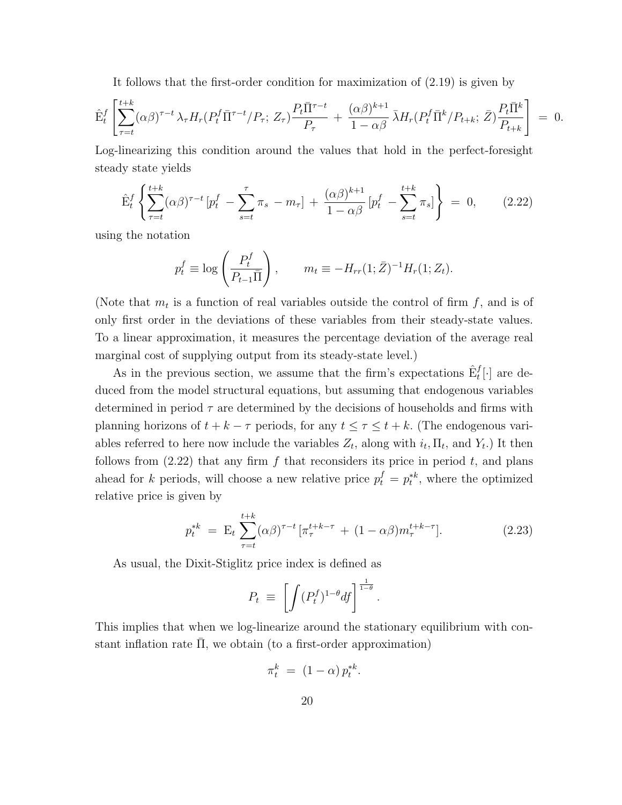It follows that the first-order condition for maximization of (2.19) is given by

$$
\hat{\mathbf{E}}_t^f \left[ \sum_{\tau=t}^{t+k} (\alpha \beta)^{\tau-t} \lambda_\tau H_r (P_t^f \bar{\Pi}^{\tau-t} / P_\tau; Z_\tau) \frac{P_t \bar{\Pi}^{\tau-t}}{P_\tau} + \frac{(\alpha \beta)^{k+1}}{1 - \alpha \beta} \bar{\lambda} H_r (P_t^f \bar{\Pi}^k / P_{t+k}; \bar{Z}) \frac{P_t \bar{\Pi}^k}{P_{t+k}} \right] = 0.
$$

Log-linearizing this condition around the values that hold in the perfect-foresight steady state yields

$$
\hat{\mathbf{E}}_t^f \left\{ \sum_{\tau=t}^{t+k} (\alpha \beta)^{\tau-t} \left[ p_t^f - \sum_{s=t}^{\tau} \pi_s - m_\tau \right] + \frac{(\alpha \beta)^{k+1}}{1 - \alpha \beta} \left[ p_t^f - \sum_{s=t}^{t+k} \pi_s \right] \right\} = 0, \quad (2.22)
$$

using the notation

$$
p_t^f \equiv \log\left(\frac{P_t^f}{P_{t-1}\overline{\Pi}}\right), \qquad m_t \equiv -H_{rr}(1;\overline{Z})^{-1}H_r(1;Z_t).
$$

(Note that  $m_t$  is a function of real variables outside the control of firm  $f$ , and is of only first order in the deviations of these variables from their steady-state values. To a linear approximation, it measures the percentage deviation of the average real marginal cost of supplying output from its steady-state level.)

As in the previous section, we assume that the firm's expectations  $\hat{E}_t^f[\cdot]$  are deduced from the model structural equations, but assuming that endogenous variables determined in period  $\tau$  are determined by the decisions of households and firms with planning horizons of  $t + k - \tau$  periods, for any  $t \leq \tau \leq t + k$ . (The endogenous variables referred to here now include the variables  $Z_t$ , along with  $i_t$ ,  $\Pi_t$ , and  $Y_t$ .) It then follows from  $(2.22)$  that any firm f that reconsiders its price in period t, and plans ahead for k periods, will choose a new relative price  $p_t^f = p_t^{*k}$ , where the optimized relative price is given by

$$
p_t^{*k} = \mathcal{E}_t \sum_{\tau=t}^{t+k} (\alpha \beta)^{\tau-t} \left[ \pi_\tau^{t+k-\tau} + (1 - \alpha \beta) m_\tau^{t+k-\tau} \right]. \tag{2.23}
$$

.

As usual, the Dixit-Stiglitz price index is defined as

$$
P_t \equiv \left[ \int (P_t^f)^{1-\theta} df \right]^{\frac{1}{1-\theta}}
$$

This implies that when we log-linearize around the stationary equilibrium with constant inflation rate  $\Pi$ , we obtain (to a first-order approximation)

$$
\pi_t^k = (1 - \alpha) p_t^{*k}.
$$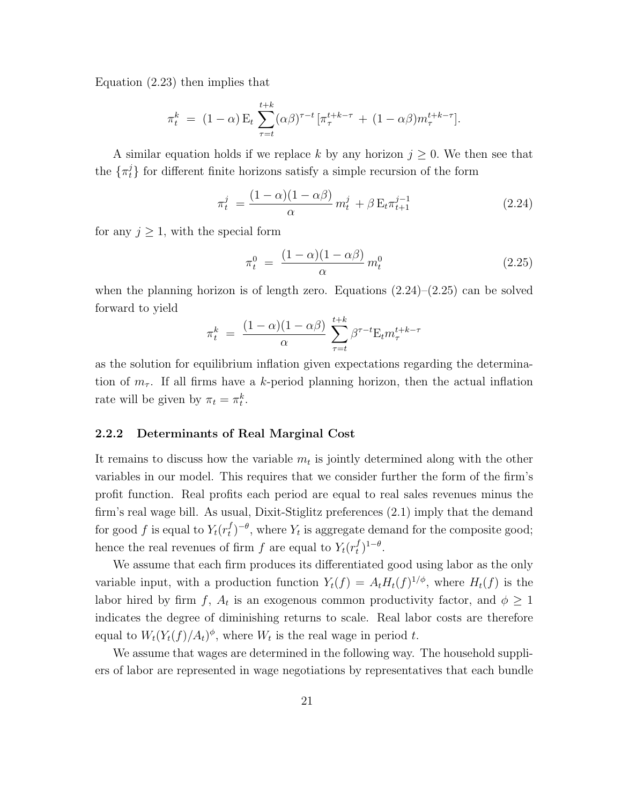Equation (2.23) then implies that

$$
\pi_t^k = (1 - \alpha) \mathbf{E}_t \sum_{\tau=t}^{t+k} (\alpha \beta)^{\tau-t} [\pi_{\tau}^{t+k-\tau} + (1 - \alpha \beta) m_{\tau}^{t+k-\tau}].
$$

A similar equation holds if we replace k by any horizon  $j \geq 0$ . We then see that the  $\{\pi_t^j\}$  for different finite horizons satisfy a simple recursion of the form

$$
\pi_t^j = \frac{(1 - \alpha)(1 - \alpha \beta)}{\alpha} m_t^j + \beta E_t \pi_{t+1}^{j-1}
$$
\n(2.24)

for any  $j \geq 1$ , with the special form

$$
\pi_t^0 = \frac{(1-\alpha)(1-\alpha\beta)}{\alpha} m_t^0 \tag{2.25}
$$

when the planning horizon is of length zero. Equations  $(2.24)$ – $(2.25)$  can be solved forward to yield

$$
\pi_t^k = \frac{(1-\alpha)(1-\alpha\beta)}{\alpha} \sum_{\tau=t}^{t+k} \beta^{\tau-t} E_t m_\tau^{t+k-\tau}
$$

as the solution for equilibrium inflation given expectations regarding the determination of  $m_{\tau}$ . If all firms have a k-period planning horizon, then the actual inflation rate will be given by  $\pi_t = \pi_t^k$ .

#### 2.2.2 Determinants of Real Marginal Cost

It remains to discuss how the variable  $m_t$  is jointly determined along with the other variables in our model. This requires that we consider further the form of the firm's profit function. Real profits each period are equal to real sales revenues minus the firm's real wage bill. As usual, Dixit-Stiglitz preferences (2.1) imply that the demand for good f is equal to  $Y_t(r_t^f)$  $(t<sup>f</sup>)<sup>-θ</sup>$ , where  $Y<sub>t</sub>$  is aggregate demand for the composite good; hence the real revenues of firm  $f$  are equal to  $Y_t(r_t^f)$  $\binom{f}{t}$ <sup>1- $\theta$ </sup>.

We assume that each firm produces its differentiated good using labor as the only variable input, with a production function  $Y_t(f) = A_t H_t(f)^{1/\phi}$ , where  $H_t(f)$  is the labor hired by firm f,  $A_t$  is an exogenous common productivity factor, and  $\phi \geq 1$ indicates the degree of diminishing returns to scale. Real labor costs are therefore equal to  $W_t(Y_t(f)/A_t)^{\phi}$ , where  $W_t$  is the real wage in period t.

We assume that wages are determined in the following way. The household suppliers of labor are represented in wage negotiations by representatives that each bundle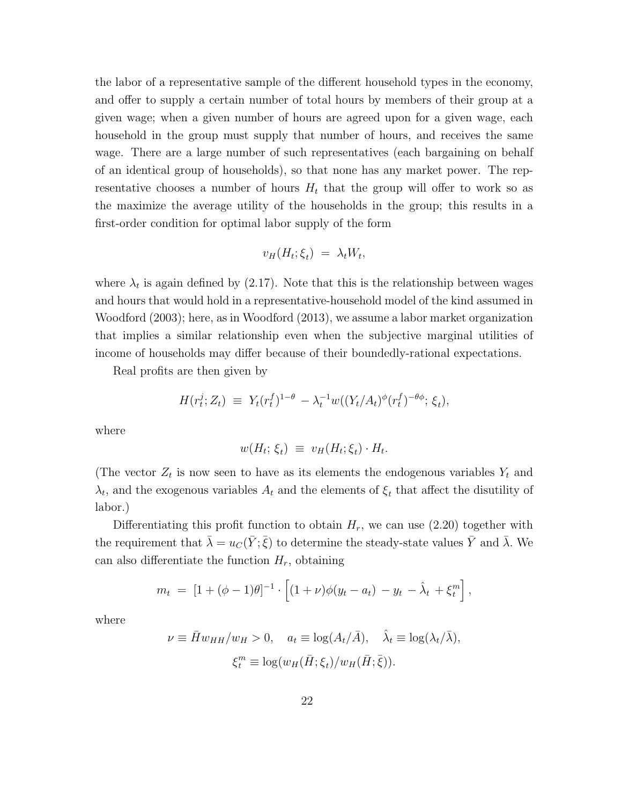the labor of a representative sample of the different household types in the economy, and offer to supply a certain number of total hours by members of their group at a given wage; when a given number of hours are agreed upon for a given wage, each household in the group must supply that number of hours, and receives the same wage. There are a large number of such representatives (each bargaining on behalf of an identical group of households), so that none has any market power. The representative chooses a number of hours  $H_t$  that the group will offer to work so as the maximize the average utility of the households in the group; this results in a first-order condition for optimal labor supply of the form

$$
v_H(H_t; \xi_t) = \lambda_t W_t,
$$

where  $\lambda_t$  is again defined by (2.17). Note that this is the relationship between wages and hours that would hold in a representative-household model of the kind assumed in Woodford (2003); here, as in Woodford (2013), we assume a labor market organization that implies a similar relationship even when the subjective marginal utilities of income of households may differ because of their boundedly-rational expectations.

Real profits are then given by

$$
H(r_t^j; Z_t) \equiv Y_t(r_t^f)^{1-\theta} - \lambda_t^{-1} w((Y_t/A_t)^{\phi}(r_t^f)^{-\theta\phi}; \xi_t),
$$

where

$$
w(H_t; \xi_t) \equiv v_H(H_t; \xi_t) \cdot H_t.
$$

(The vector  $Z_t$  is now seen to have as its elements the endogenous variables  $Y_t$  and  $\lambda_t$ , and the exogenous variables  $A_t$  and the elements of  $\xi_t$  that affect the disutility of labor.)

Differentiating this profit function to obtain  $H_r$ , we can use (2.20) together with the requirement that  $\bar{\lambda} = u_C(\bar{Y}; \bar{\xi})$  to determine the steady-state values  $\bar{Y}$  and  $\bar{\lambda}$ . We can also differentiate the function  $H_r$ , obtaining

$$
m_t = [1 + (\phi - 1)\theta]^{-1} \cdot \left[ (1 + \nu)\phi(y_t - a_t) - y_t - \hat{\lambda}_t + \xi_t^m \right],
$$

where

$$
\nu \equiv \bar{H}w_{HH}/w_H > 0, \quad a_t \equiv \log(A_t/\bar{A}), \quad \hat{\lambda}_t \equiv \log(\lambda_t/\bar{\lambda}),
$$

$$
\xi_t^m \equiv \log(w_H(\bar{H}; \xi_t)/w_H(\bar{H}; \bar{\xi})).
$$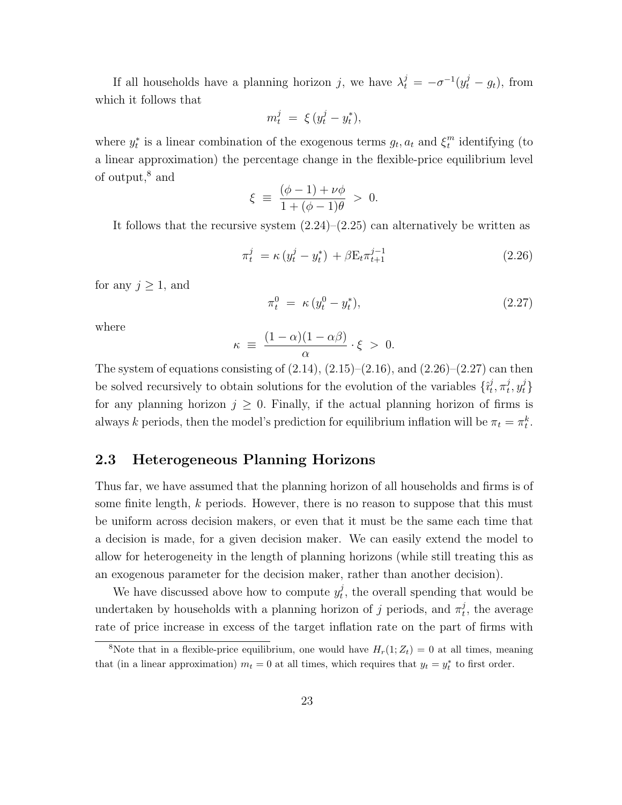If all households have a planning horizon j, we have  $\lambda_t^j = -\sigma^{-1}(y_t^j - g_t)$ , from which it follows that

$$
m_t^j = \xi (y_t^j - y_t^*),
$$

where  $y_t^*$  is a linear combination of the exogenous terms  $g_t, a_t$  and  $\xi_t^m$  $t^{m}$  identifying (to a linear approximation) the percentage change in the flexible-price equilibrium level of output,<sup>8</sup> and

$$
\xi \equiv \frac{(\phi - 1) + \nu \phi}{1 + (\phi - 1)\theta} > 0.
$$

It follows that the recursive system  $(2.24)$ – $(2.25)$  can alternatively be written as

$$
\pi_t^j = \kappa \left( y_t^j - y_t^* \right) + \beta E_t \pi_{t+1}^{j-1} \tag{2.26}
$$

for any  $j \geq 1$ , and

$$
\pi_t^0 = \kappa \left( y_t^0 - y_t^* \right), \tag{2.27}
$$

where

$$
\kappa \ \equiv \ \frac{(1-\alpha)(1-\alpha\beta)}{\alpha}\cdot \xi \ > \ 0.
$$

The system of equations consisting of  $(2.14)$ ,  $(2.15)$ – $(2.16)$ , and  $(2.26)$ – $(2.27)$  can then be solved recursively to obtain solutions for the evolution of the variables  $\{\hat{i}_t^j\}$  $\frac{j}{t}, \pi_t^j$  $_{t}^{j},y_{t}^{j}\}$ for any planning horizon  $j \geq 0$ . Finally, if the actual planning horizon of firms is always k periods, then the model's prediction for equilibrium inflation will be  $\pi_t = \pi_t^k$ .

## 2.3 Heterogeneous Planning Horizons

Thus far, we have assumed that the planning horizon of all households and firms is of some finite length, k periods. However, there is no reason to suppose that this must be uniform across decision makers, or even that it must be the same each time that a decision is made, for a given decision maker. We can easily extend the model to allow for heterogeneity in the length of planning horizons (while still treating this as an exogenous parameter for the decision maker, rather than another decision).

We have discussed above how to compute  $y_t^j$  $t<sub>t</sub>$ , the overall spending that would be undertaken by households with a planning horizon of j periods, and  $\pi_t^j$  $t<sub>t</sub>$ , the average rate of price increase in excess of the target inflation rate on the part of firms with

<sup>&</sup>lt;sup>8</sup>Note that in a flexible-price equilibrium, one would have  $H_r(1;Z_t) = 0$  at all times, meaning that (in a linear approximation)  $m_t = 0$  at all times, which requires that  $y_t = y_t^*$  to first order.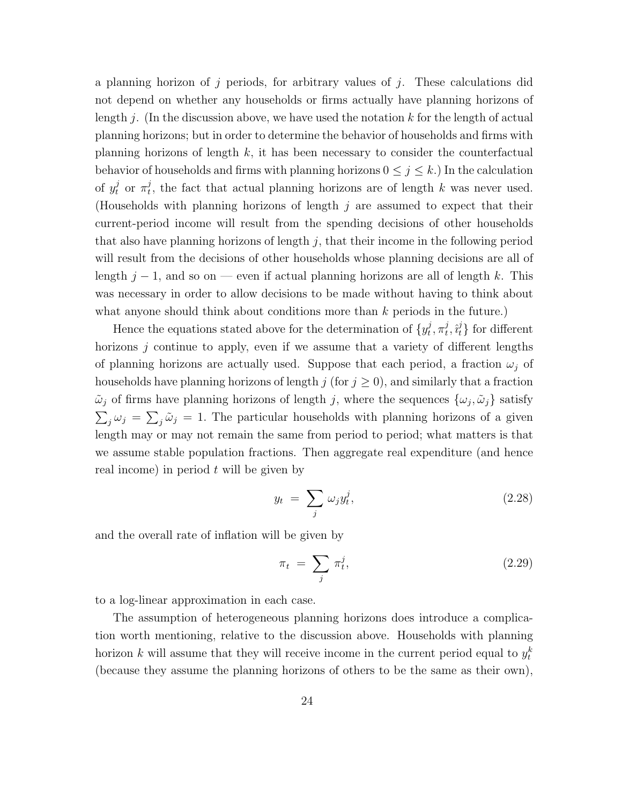a planning horizon of j periods, for arbitrary values of j. These calculations did not depend on whether any households or firms actually have planning horizons of length j. (In the discussion above, we have used the notation k for the length of actual planning horizons; but in order to determine the behavior of households and firms with planning horizons of length  $k$ , it has been necessary to consider the counterfactual behavior of households and firms with planning horizons  $0 \leq j \leq k$ .) In the calculation of  $y_t^j$  or  $\pi_t^j$  $t<sub>t</sub>$ , the fact that actual planning horizons are of length k was never used. (Households with planning horizons of length  $j$  are assumed to expect that their current-period income will result from the spending decisions of other households that also have planning horizons of length  $j$ , that their income in the following period will result from the decisions of other households whose planning decisions are all of length  $j-1$ , and so on — even if actual planning horizons are all of length k. This was necessary in order to allow decisions to be made without having to think about what anyone should think about conditions more than  $k$  periods in the future.)

Hence the equations stated above for the determination of  $\{y_t^j\}$  $_i^j, \pi_t^j$  $\{i, \hat{i}_t^j\}$  for different horizons  $j$  continue to apply, even if we assume that a variety of different lengths of planning horizons are actually used. Suppose that each period, a fraction  $\omega_i$  of households have planning horizons of length  $j$  (for  $j \geq 0$ ), and similarly that a fraction  $\tilde{\omega}_j$  of firms have planning horizons of length j, where the sequences  $\{\omega_j, \tilde{\omega}_j\}$  satisfy  $\sum_j \omega_j = \sum_j \tilde{\omega}_j = 1$ . The particular households with planning horizons of a given length may or may not remain the same from period to period; what matters is that we assume stable population fractions. Then aggregate real expenditure (and hence real income) in period  $t$  will be given by

$$
y_t = \sum_j \omega_j y_t^j, \tag{2.28}
$$

and the overall rate of inflation will be given by

$$
\pi_t = \sum_j \pi_t^j,\tag{2.29}
$$

to a log-linear approximation in each case.

The assumption of heterogeneous planning horizons does introduce a complication worth mentioning, relative to the discussion above. Households with planning horizon k will assume that they will receive income in the current period equal to  $y_t^k$ (because they assume the planning horizons of others to be the same as their own),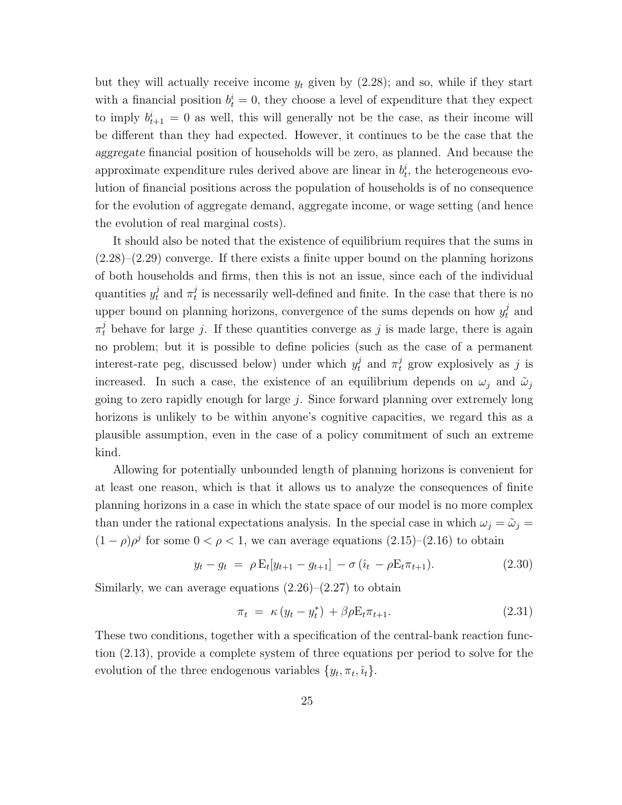but they will actually receive income  $y_t$  given by (2.28); and so, while if they start with a financial position  $b_t^i = 0$ , they choose a level of expenditure that they expect to imply  $b_{t+1}^i = 0$  as well, this will generally not be the case, as their income will be different than they had expected. However, it continues to be the case that the aggregate financial position of households will be zero, as planned. And because the approximate expenditure rules derived above are linear in  $b_t^i$ , the heterogeneous evolution of financial positions across the population of households is of no consequence for the evolution of aggregate demand, aggregate income, or wage setting (and hence the evolution of real marginal costs).

It should also be noted that the existence of equilibrium requires that the sums in  $(2.28)$ – $(2.29)$  converge. If there exists a finite upper bound on the planning horizons of both households and firms, then this is not an issue, since each of the individual quantities  $y_t^j$  and  $\pi_t^j$  $t<sub>t</sub>$  is necessarily well-defined and finite. In the case that there is no upper bound on planning horizons, convergence of the sums depends on how  $y_t^j$  and  $\pi_t^j$  behave for large j. If these quantities converge as j is made large, there is again no problem; but it is possible to define policies (such as the case of a permanent interest-rate peg, discussed below) under which  $y_t^j$  and  $\pi_t^j$  grow explosively as j is increased. In such a case, the existence of an equilibrium depends on  $\omega_i$  and  $\tilde{\omega}_i$ going to zero rapidly enough for large  $j$ . Since forward planning over extremely long horizons is unlikely to be within anyone's cognitive capacities, we regard this as a plausible assumption, even in the case of a policy commitment of such an extreme kind.

Allowing for potentially unbounded length of planning horizons is convenient for at least one reason, which is that it allows us to analyze the consequences of finite planning horizons in a case in which the state space of our model is no more complex than under the rational expectations analysis. In the special case in which  $\omega_j = \tilde{\omega}_j =$  $(1 - \rho)\rho^j$  for some  $0 < \rho < 1$ , we can average equations  $(2.15)$ – $(2.16)$  to obtain

$$
y_t - g_t = \rho \mathbf{E}_t[y_{t+1} - g_{t+1}] - \sigma(\hat{\imath}_t - \rho \mathbf{E}_t \pi_{t+1}). \tag{2.30}
$$

Similarly, we can average equations  $(2.26)$ – $(2.27)$  to obtain

$$
\pi_t = \kappa (y_t - y_t^*) + \beta \rho E_t \pi_{t+1}.
$$
\n(2.31)

These two conditions, together with a specification of the central-bank reaction function (2.13), provide a complete system of three equations per period to solve for the evolution of the three endogenous variables  $\{y_t, \pi_t, \hat{\imath}_t\}.$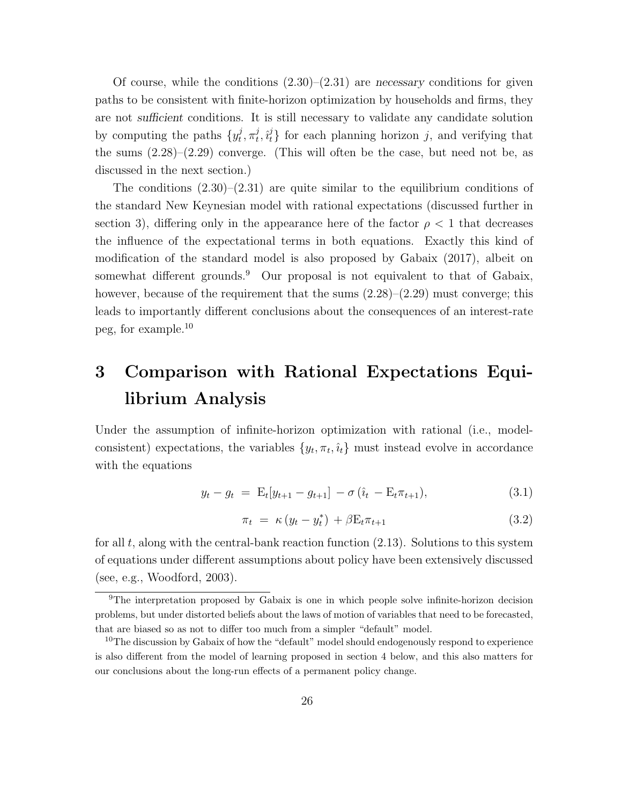Of course, while the conditions  $(2.30)$ – $(2.31)$  are necessary conditions for given paths to be consistent with finite-horizon optimization by households and firms, they are not sufficient conditions. It is still necessary to validate any candidate solution by computing the paths  $\{y_t^j\}$  $_i^j, \pi_t^j$  $\{\hat{t}, \hat{i}_t^j\}$  for each planning horizon j, and verifying that the sums  $(2.28)$ – $(2.29)$  converge. (This will often be the case, but need not be, as discussed in the next section.)

The conditions  $(2.30)$ – $(2.31)$  are quite similar to the equilibrium conditions of the standard New Keynesian model with rational expectations (discussed further in section 3), differing only in the appearance here of the factor  $\rho < 1$  that decreases the influence of the expectational terms in both equations. Exactly this kind of modification of the standard model is also proposed by Gabaix (2017), albeit on somewhat different grounds.<sup>9</sup> Our proposal is not equivalent to that of Gabaix, however, because of the requirement that the sums  $(2.28)$ – $(2.29)$  must converge; this leads to importantly different conclusions about the consequences of an interest-rate peg, for example.<sup>10</sup>

# 3 Comparison with Rational Expectations Equilibrium Analysis

Under the assumption of infinite-horizon optimization with rational (i.e., modelconsistent) expectations, the variables  $\{y_t, \pi_t, \hat{\imath}_t\}$  must instead evolve in accordance with the equations

$$
y_t - g_t = \mathcal{E}_t[y_{t+1} - g_{t+1}] - \sigma(\hat{\imath}_t - \mathcal{E}_t \pi_{t+1}), \tag{3.1}
$$

$$
\pi_t = \kappa (y_t - y_t^*) + \beta E_t \pi_{t+1} \tag{3.2}
$$

for all t, along with the central-bank reaction function  $(2.13)$ . Solutions to this system of equations under different assumptions about policy have been extensively discussed (see, e.g., Woodford, 2003).

<sup>&</sup>lt;sup>9</sup>The interpretation proposed by Gabaix is one in which people solve infinite-horizon decision problems, but under distorted beliefs about the laws of motion of variables that need to be forecasted, that are biased so as not to differ too much from a simpler "default" model.

 $10$ The discussion by Gabaix of how the "default" model should endogenously respond to experience is also different from the model of learning proposed in section 4 below, and this also matters for our conclusions about the long-run effects of a permanent policy change.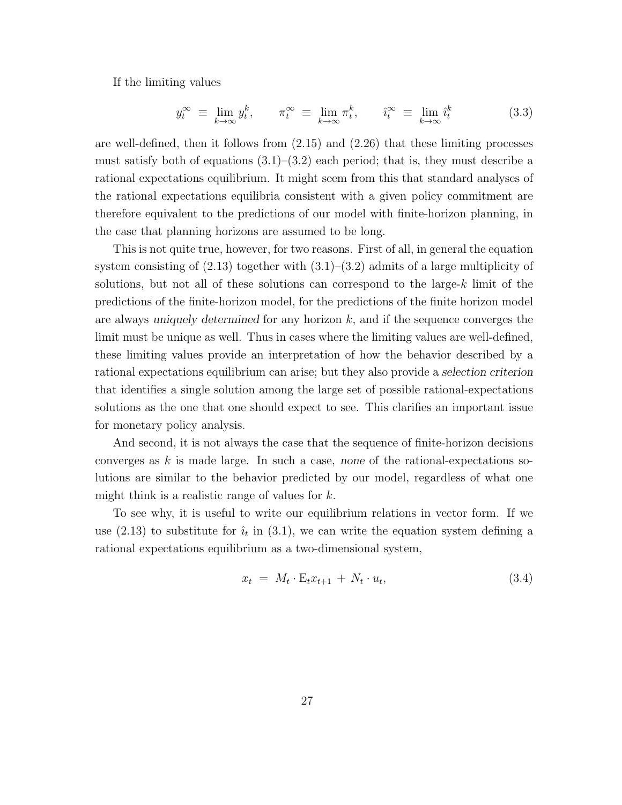If the limiting values

$$
y_t^{\infty} \equiv \lim_{k \to \infty} y_t^k, \qquad \pi_t^{\infty} \equiv \lim_{k \to \infty} \pi_t^k, \qquad \hat{i}_t^{\infty} \equiv \lim_{k \to \infty} \hat{i}_t^k \tag{3.3}
$$

are well-defined, then it follows from (2.15) and (2.26) that these limiting processes must satisfy both of equations  $(3.1)$ – $(3.2)$  each period; that is, they must describe a rational expectations equilibrium. It might seem from this that standard analyses of the rational expectations equilibria consistent with a given policy commitment are therefore equivalent to the predictions of our model with finite-horizon planning, in the case that planning horizons are assumed to be long.

This is not quite true, however, for two reasons. First of all, in general the equation system consisting of  $(2.13)$  together with  $(3.1)$ – $(3.2)$  admits of a large multiplicity of solutions, but not all of these solutions can correspond to the large- $k$  limit of the predictions of the finite-horizon model, for the predictions of the finite horizon model are always uniquely determined for any horizon  $k$ , and if the sequence converges the limit must be unique as well. Thus in cases where the limiting values are well-defined, these limiting values provide an interpretation of how the behavior described by a rational expectations equilibrium can arise; but they also provide a selection criterion that identifies a single solution among the large set of possible rational-expectations solutions as the one that one should expect to see. This clarifies an important issue for monetary policy analysis.

And second, it is not always the case that the sequence of finite-horizon decisions converges as  $k$  is made large. In such a case, none of the rational-expectations solutions are similar to the behavior predicted by our model, regardless of what one might think is a realistic range of values for  $k$ .

To see why, it is useful to write our equilibrium relations in vector form. If we use (2.13) to substitute for  $\hat{i}_t$  in (3.1), we can write the equation system defining a rational expectations equilibrium as a two-dimensional system,

$$
x_t = M_t \cdot \mathbf{E}_t x_{t+1} + N_t \cdot u_t, \tag{3.4}
$$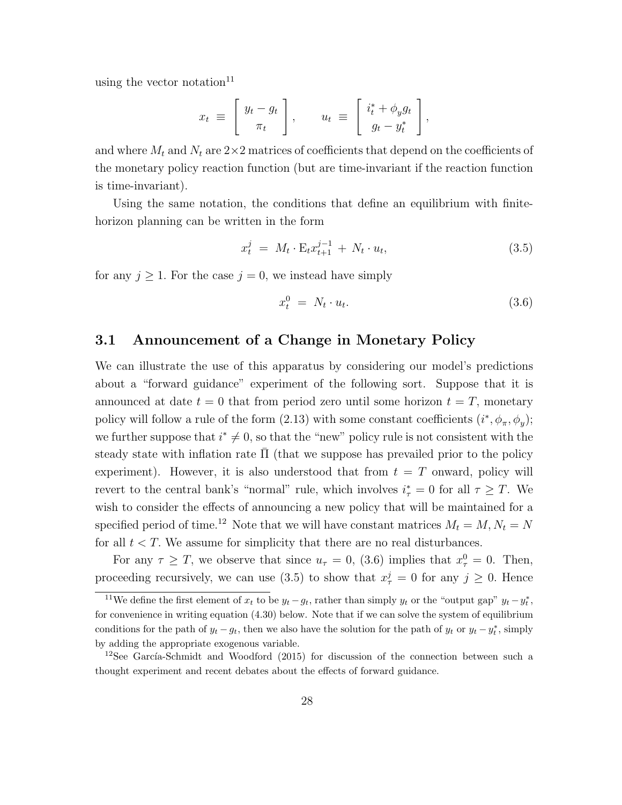using the vector notation $11$ 

$$
x_t \equiv \begin{bmatrix} y_t - g_t \\ \pi_t \end{bmatrix}, \qquad u_t \equiv \begin{bmatrix} i_t^* + \phi_y g_t \\ g_t - y_t^* \end{bmatrix},
$$

and where  $M_t$  and  $N_t$  are  $2\times 2$  matrices of coefficients that depend on the coefficients of the monetary policy reaction function (but are time-invariant if the reaction function is time-invariant).

Using the same notation, the conditions that define an equilibrium with finitehorizon planning can be written in the form

$$
x_t^j = M_t \cdot \mathcal{E}_t x_{t+1}^{j-1} + N_t \cdot u_t, \tag{3.5}
$$

for any  $j \ge 1$ . For the case  $j = 0$ , we instead have simply

$$
x_t^0 = N_t \cdot u_t. \tag{3.6}
$$

### 3.1 Announcement of a Change in Monetary Policy

We can illustrate the use of this apparatus by considering our model's predictions about a "forward guidance" experiment of the following sort. Suppose that it is announced at date  $t = 0$  that from period zero until some horizon  $t = T$ , monetary policy will follow a rule of the form  $(2.13)$  with some constant coefficients  $(i^*, \phi_\pi, \phi_y)$ ; we further suppose that  $i^* \neq 0$ , so that the "new" policy rule is not consistent with the steady state with inflation rate  $\Pi$  (that we suppose has prevailed prior to the policy experiment). However, it is also understood that from  $t = T$  onward, policy will revert to the central bank's "normal" rule, which involves  $i^*_{\tau} = 0$  for all  $\tau \geq T$ . We wish to consider the effects of announcing a new policy that will be maintained for a specified period of time.<sup>12</sup> Note that we will have constant matrices  $M_t = M, N_t = N$ for all  $t < T$ . We assume for simplicity that there are no real disturbances.

For any  $\tau \geq T$ , we observe that since  $u_{\tau} = 0$ , (3.6) implies that  $x_{\tau}^{0} = 0$ . Then, proceeding recursively, we can use (3.5) to show that  $x_{\tau}^{j} = 0$  for any  $j \ge 0$ . Hence

<sup>&</sup>lt;sup>11</sup>We define the first element of  $x_t$  to be  $y_t - g_t$ , rather than simply  $y_t$  or the "output gap"  $y_t - y_t^*$ , for convenience in writing equation (4.30) below. Note that if we can solve the system of equilibrium conditions for the path of  $y_t - g_t$ , then we also have the solution for the path of  $y_t$  or  $y_t - y_t^*$ , simply by adding the appropriate exogenous variable.

<sup>&</sup>lt;sup>12</sup>See García-Schmidt and Woodford  $(2015)$  for discussion of the connection between such a thought experiment and recent debates about the effects of forward guidance.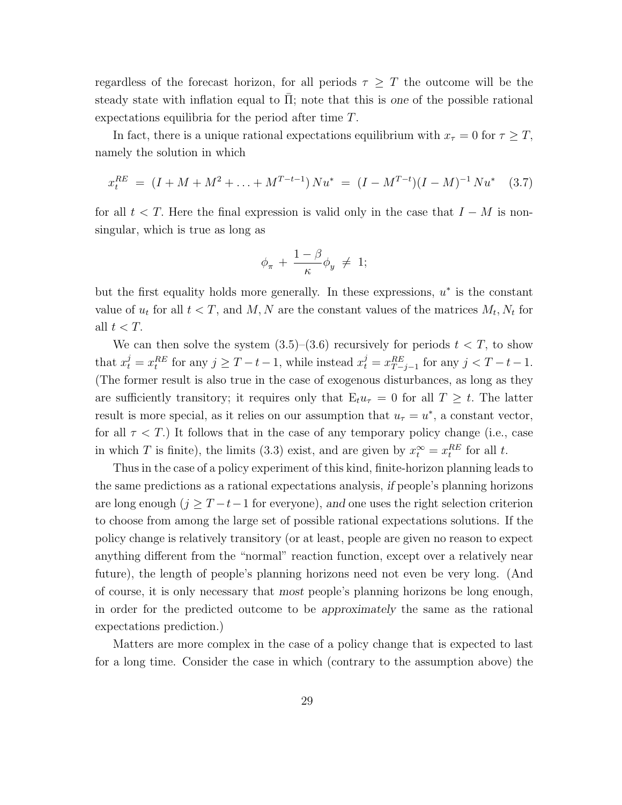regardless of the forecast horizon, for all periods  $\tau \geq T$  the outcome will be the steady state with inflation equal to  $\Pi$ ; note that this is one of the possible rational expectations equilibria for the period after time T.

In fact, there is a unique rational expectations equilibrium with  $x_{\tau} = 0$  for  $\tau \geq T$ , namely the solution in which

$$
x_t^{RE} = (I + M + M^2 + \dots + M^{T-t-1}) N u^* = (I - M^{T-t})(I - M)^{-1} N u^* \quad (3.7)
$$

for all  $t < T$ . Here the final expression is valid only in the case that  $I - M$  is nonsingular, which is true as long as

$$
\phi_{\pi} + \frac{1-\beta}{\kappa} \phi_y \neq 1;
$$

but the first equality holds more generally. In these expressions,  $u^*$  is the constant value of  $u_t$  for all  $t < T$ , and M, N are the constant values of the matrices  $M_t$ ,  $N_t$  for all  $t < T$ .

We can then solve the system  $(3.5)$ – $(3.6)$  recursively for periods  $t < T$ , to show that  $x_t^j = x_t^{RE}$  for any  $j \geq T - t - 1$ , while instead  $x_t^j = x_{T-j-1}^{RE}$  for any  $j < T - t - 1$ . (The former result is also true in the case of exogenous disturbances, as long as they are sufficiently transitory; it requires only that  $E_t u_\tau = 0$  for all  $T \geq t$ . The latter result is more special, as it relies on our assumption that  $u<sub>\tau</sub> = u<sup>*</sup>$ , a constant vector, for all  $\tau < T$ .) It follows that in the case of any temporary policy change (i.e., case in which T is finite), the limits (3.3) exist, and are given by  $x_t^{\infty} = x_t^{RE}$  for all t.

Thus in the case of a policy experiment of this kind, finite-horizon planning leads to the same predictions as a rational expectations analysis, if people's planning horizons are long enough  $(j \geq T-t-1$  for everyone), and one uses the right selection criterion to choose from among the large set of possible rational expectations solutions. If the policy change is relatively transitory (or at least, people are given no reason to expect anything different from the "normal" reaction function, except over a relatively near future), the length of people's planning horizons need not even be very long. (And of course, it is only necessary that most people's planning horizons be long enough, in order for the predicted outcome to be approximately the same as the rational expectations prediction.)

Matters are more complex in the case of a policy change that is expected to last for a long time. Consider the case in which (contrary to the assumption above) the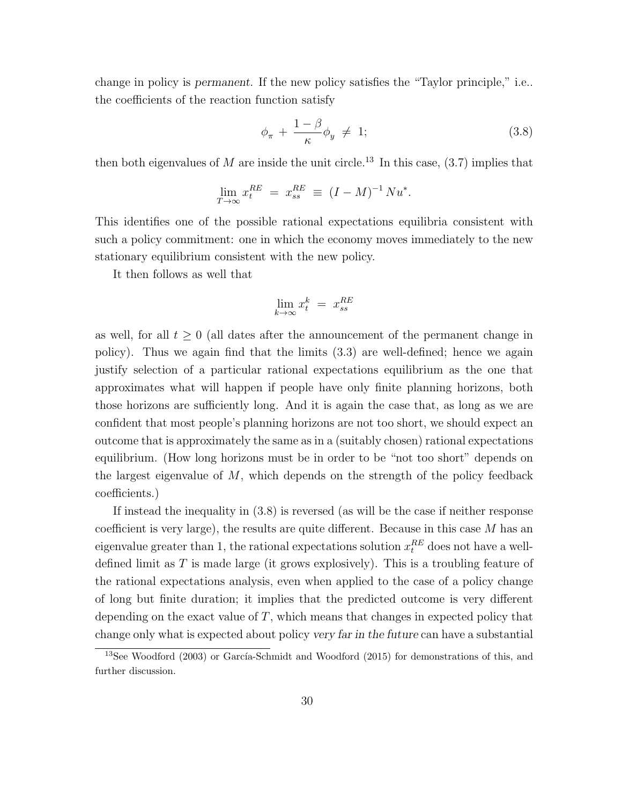change in policy is permanent. If the new policy satisfies the "Taylor principle," i.e.. the coefficients of the reaction function satisfy

$$
\phi_{\pi} + \frac{1-\beta}{\kappa} \phi_y \neq 1; \tag{3.8}
$$

then both eigenvalues of M are inside the unit circle.<sup>13</sup> In this case,  $(3.7)$  implies that

$$
\lim_{T \to \infty} x_t^{RE} = x_{ss}^{RE} \equiv (I - M)^{-1} N u^*.
$$

This identifies one of the possible rational expectations equilibria consistent with such a policy commitment: one in which the economy moves immediately to the new stationary equilibrium consistent with the new policy.

It then follows as well that

$$
\lim_{k \to \infty} x_t^k = x_{ss}^{RE}
$$

as well, for all  $t \geq 0$  (all dates after the announcement of the permanent change in policy). Thus we again find that the limits (3.3) are well-defined; hence we again justify selection of a particular rational expectations equilibrium as the one that approximates what will happen if people have only finite planning horizons, both those horizons are sufficiently long. And it is again the case that, as long as we are confident that most people's planning horizons are not too short, we should expect an outcome that is approximately the same as in a (suitably chosen) rational expectations equilibrium. (How long horizons must be in order to be "not too short" depends on the largest eigenvalue of  $M$ , which depends on the strength of the policy feedback coefficients.)

If instead the inequality in (3.8) is reversed (as will be the case if neither response coefficient is very large), the results are quite different. Because in this case M has an eigenvalue greater than 1, the rational expectations solution  $x_t^{RE}$  does not have a welldefined limit as  $T$  is made large (it grows explosively). This is a troubling feature of the rational expectations analysis, even when applied to the case of a policy change of long but finite duration; it implies that the predicted outcome is very different depending on the exact value of  $T$ , which means that changes in expected policy that change only what is expected about policy very far in the future can have a substantial

 $13$ See Woodford (2003) or García-Schmidt and Woodford (2015) for demonstrations of this, and further discussion.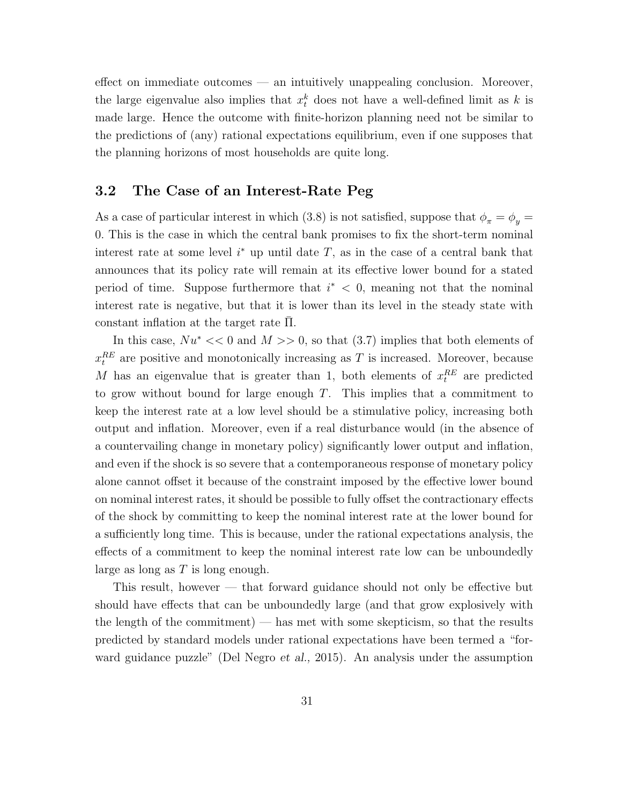effect on immediate outcomes — an intuitively unappealing conclusion. Moreover, the large eigenvalue also implies that  $x_t^k$  does not have a well-defined limit as k is made large. Hence the outcome with finite-horizon planning need not be similar to the predictions of (any) rational expectations equilibrium, even if one supposes that the planning horizons of most households are quite long.

## 3.2 The Case of an Interest-Rate Peg

As a case of particular interest in which (3.8) is not satisfied, suppose that  $\phi_{\pi} = \phi_{y} =$ 0. This is the case in which the central bank promises to fix the short-term nominal interest rate at some level  $i^*$  up until date  $T$ , as in the case of a central bank that announces that its policy rate will remain at its effective lower bound for a stated period of time. Suppose furthermore that  $i^* < 0$ , meaning not that the nominal interest rate is negative, but that it is lower than its level in the steady state with constant inflation at the target rate  $\Pi$ .

In this case,  $Nu^* \ll 0$  and  $M >> 0$ , so that (3.7) implies that both elements of  $x_t^{RE}$  are positive and monotonically increasing as T is increased. Moreover, because M has an eigenvalue that is greater than 1, both elements of  $x_t^{RE}$  are predicted to grow without bound for large enough  $T$ . This implies that a commitment to keep the interest rate at a low level should be a stimulative policy, increasing both output and inflation. Moreover, even if a real disturbance would (in the absence of a countervailing change in monetary policy) significantly lower output and inflation, and even if the shock is so severe that a contemporaneous response of monetary policy alone cannot offset it because of the constraint imposed by the effective lower bound on nominal interest rates, it should be possible to fully offset the contractionary effects of the shock by committing to keep the nominal interest rate at the lower bound for a sufficiently long time. This is because, under the rational expectations analysis, the effects of a commitment to keep the nominal interest rate low can be unboundedly large as long as  $T$  is long enough.

This result, however — that forward guidance should not only be effective but should have effects that can be unboundedly large (and that grow explosively with the length of the commitment) — has met with some skepticism, so that the results predicted by standard models under rational expectations have been termed a "forward guidance puzzle" (Del Negro et al., 2015). An analysis under the assumption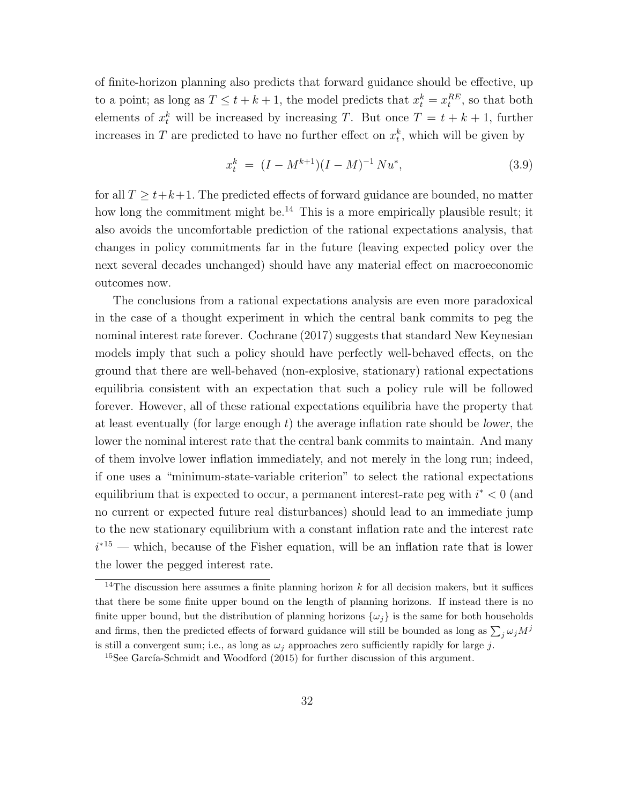of finite-horizon planning also predicts that forward guidance should be effective, up to a point; as long as  $T \leq t + k + 1$ , the model predicts that  $x_t^k = x_t^{RE}$ , so that both elements of  $x_t^k$  will be increased by increasing T. But once  $T = t + k + 1$ , further increases in T are predicted to have no further effect on  $x_t^k$ , which will be given by

$$
x_t^k = (I - M^{k+1})(I - M)^{-1} N u^*, \tag{3.9}
$$

for all  $T \geq t+k+1$ . The predicted effects of forward guidance are bounded, no matter how long the commitment might be.<sup>14</sup> This is a more empirically plausible result; it also avoids the uncomfortable prediction of the rational expectations analysis, that changes in policy commitments far in the future (leaving expected policy over the next several decades unchanged) should have any material effect on macroeconomic outcomes now.

The conclusions from a rational expectations analysis are even more paradoxical in the case of a thought experiment in which the central bank commits to peg the nominal interest rate forever. Cochrane (2017) suggests that standard New Keynesian models imply that such a policy should have perfectly well-behaved effects, on the ground that there are well-behaved (non-explosive, stationary) rational expectations equilibria consistent with an expectation that such a policy rule will be followed forever. However, all of these rational expectations equilibria have the property that at least eventually (for large enough  $t$ ) the average inflation rate should be lower, the lower the nominal interest rate that the central bank commits to maintain. And many of them involve lower inflation immediately, and not merely in the long run; indeed, if one uses a "minimum-state-variable criterion" to select the rational expectations equilibrium that is expected to occur, a permanent interest-rate peg with  $i^* < 0$  (and no current or expected future real disturbances) should lead to an immediate jump to the new stationary equilibrium with a constant inflation rate and the interest rate  $i^{*15}$  — which, because of the Fisher equation, will be an inflation rate that is lower the lower the pegged interest rate.

<sup>&</sup>lt;sup>14</sup>The discussion here assumes a finite planning horizon  $k$  for all decision makers, but it suffices that there be some finite upper bound on the length of planning horizons. If instead there is no finite upper bound, but the distribution of planning horizons  $\{\omega_i\}$  is the same for both households and firms, then the predicted effects of forward guidance will still be bounded as long as  $\sum_j \omega_j M^j$ is still a convergent sum; i.e., as long as  $\omega_i$  approaches zero sufficiently rapidly for large j.

 $15$ See García-Schmidt and Woodford (2015) for further discussion of this argument.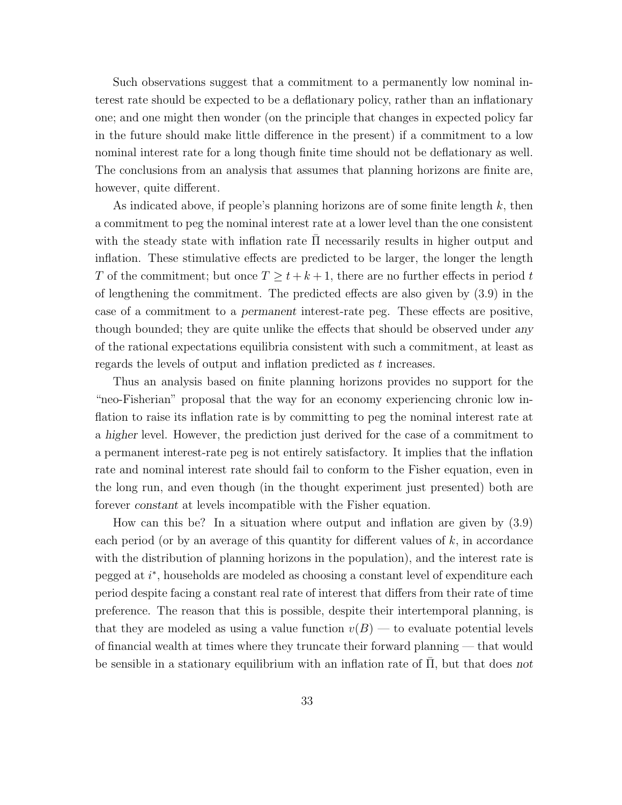Such observations suggest that a commitment to a permanently low nominal interest rate should be expected to be a deflationary policy, rather than an inflationary one; and one might then wonder (on the principle that changes in expected policy far in the future should make little difference in the present) if a commitment to a low nominal interest rate for a long though finite time should not be deflationary as well. The conclusions from an analysis that assumes that planning horizons are finite are, however, quite different.

As indicated above, if people's planning horizons are of some finite length k, then a commitment to peg the nominal interest rate at a lower level than the one consistent with the steady state with inflation rate  $\Pi$  necessarily results in higher output and inflation. These stimulative effects are predicted to be larger, the longer the length T of the commitment; but once  $T \geq t + k + 1$ , there are no further effects in period t of lengthening the commitment. The predicted effects are also given by (3.9) in the case of a commitment to a permanent interest-rate peg. These effects are positive, though bounded; they are quite unlike the effects that should be observed under any of the rational expectations equilibria consistent with such a commitment, at least as regards the levels of output and inflation predicted as t increases.

Thus an analysis based on finite planning horizons provides no support for the "neo-Fisherian" proposal that the way for an economy experiencing chronic low inflation to raise its inflation rate is by committing to peg the nominal interest rate at a higher level. However, the prediction just derived for the case of a commitment to a permanent interest-rate peg is not entirely satisfactory. It implies that the inflation rate and nominal interest rate should fail to conform to the Fisher equation, even in the long run, and even though (in the thought experiment just presented) both are forever constant at levels incompatible with the Fisher equation.

How can this be? In a situation where output and inflation are given by (3.9) each period (or by an average of this quantity for different values of  $k$ , in accordance with the distribution of planning horizons in the population), and the interest rate is pegged at i<sup>\*</sup>, households are modeled as choosing a constant level of expenditure each period despite facing a constant real rate of interest that differs from their rate of time preference. The reason that this is possible, despite their intertemporal planning, is that they are modeled as using a value function  $v(B)$  — to evaluate potential levels of financial wealth at times where they truncate their forward planning — that would be sensible in a stationary equilibrium with an inflation rate of  $\Pi$ , but that does not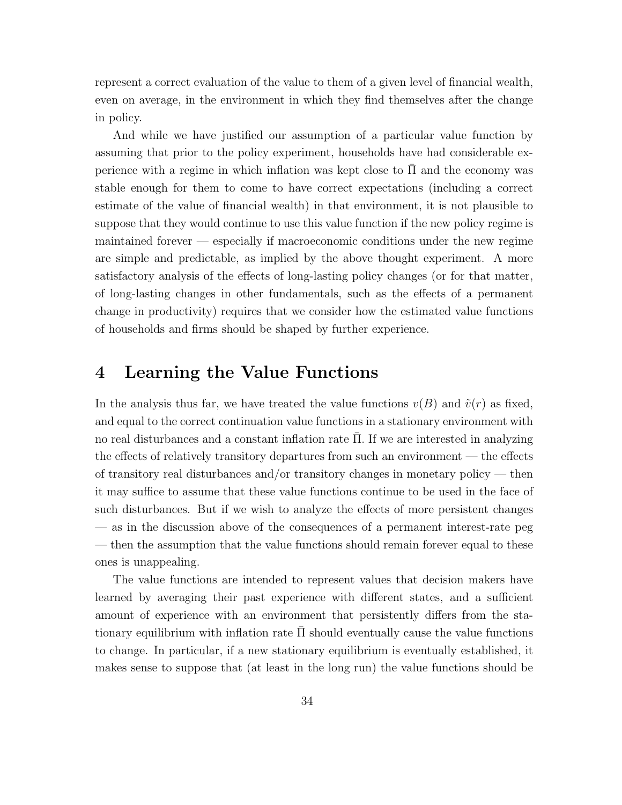represent a correct evaluation of the value to them of a given level of financial wealth, even on average, in the environment in which they find themselves after the change in policy.

And while we have justified our assumption of a particular value function by assuming that prior to the policy experiment, households have had considerable experience with a regime in which inflation was kept close to  $\Pi$  and the economy was stable enough for them to come to have correct expectations (including a correct estimate of the value of financial wealth) in that environment, it is not plausible to suppose that they would continue to use this value function if the new policy regime is maintained forever — especially if macroeconomic conditions under the new regime are simple and predictable, as implied by the above thought experiment. A more satisfactory analysis of the effects of long-lasting policy changes (or for that matter, of long-lasting changes in other fundamentals, such as the effects of a permanent change in productivity) requires that we consider how the estimated value functions of households and firms should be shaped by further experience.

## 4 Learning the Value Functions

In the analysis thus far, we have treated the value functions  $v(B)$  and  $\tilde{v}(r)$  as fixed, and equal to the correct continuation value functions in a stationary environment with no real disturbances and a constant inflation rate Π. If we are interested in analyzing the effects of relatively transitory departures from such an environment — the effects of transitory real disturbances and/or transitory changes in monetary policy — then it may suffice to assume that these value functions continue to be used in the face of such disturbances. But if we wish to analyze the effects of more persistent changes — as in the discussion above of the consequences of a permanent interest-rate peg — then the assumption that the value functions should remain forever equal to these ones is unappealing.

The value functions are intended to represent values that decision makers have learned by averaging their past experience with different states, and a sufficient amount of experience with an environment that persistently differs from the stationary equilibrium with inflation rate  $\Pi$  should eventually cause the value functions to change. In particular, if a new stationary equilibrium is eventually established, it makes sense to suppose that (at least in the long run) the value functions should be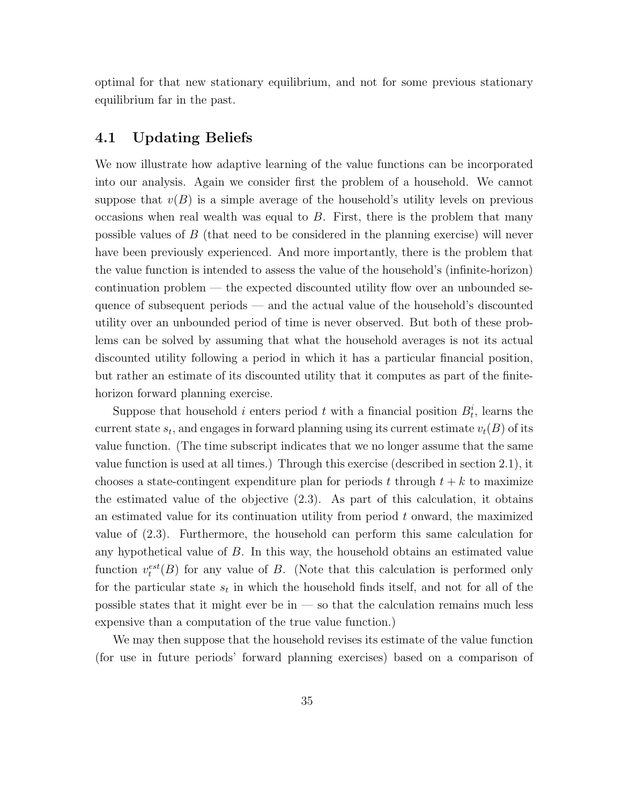optimal for that new stationary equilibrium, and not for some previous stationary equilibrium far in the past.

## 4.1 Updating Beliefs

We now illustrate how adaptive learning of the value functions can be incorporated into our analysis. Again we consider first the problem of a household. We cannot suppose that  $v(B)$  is a simple average of the household's utility levels on previous occasions when real wealth was equal to  $B$ . First, there is the problem that many possible values of B (that need to be considered in the planning exercise) will never have been previously experienced. And more importantly, there is the problem that the value function is intended to assess the value of the household's (infinite-horizon) continuation problem — the expected discounted utility flow over an unbounded sequence of subsequent periods — and the actual value of the household's discounted utility over an unbounded period of time is never observed. But both of these problems can be solved by assuming that what the household averages is not its actual discounted utility following a period in which it has a particular financial position, but rather an estimate of its discounted utility that it computes as part of the finitehorizon forward planning exercise.

Suppose that household *i* enters period *t* with a financial position  $B_t^i$ , learns the current state  $s_t$ , and engages in forward planning using its current estimate  $v_t(B)$  of its value function. (The time subscript indicates that we no longer assume that the same value function is used at all times.) Through this exercise (described in section 2.1), it chooses a state-contingent expenditure plan for periods t through  $t + k$  to maximize the estimated value of the objective (2.3). As part of this calculation, it obtains an estimated value for its continuation utility from period  $t$  onward, the maximized value of (2.3). Furthermore, the household can perform this same calculation for any hypothetical value of B. In this way, the household obtains an estimated value function  $v_t^{est}(B)$  for any value of B. (Note that this calculation is performed only for the particular state  $s_t$  in which the household finds itself, and not for all of the possible states that it might ever be in — so that the calculation remains much less expensive than a computation of the true value function.)

We may then suppose that the household revises its estimate of the value function (for use in future periods' forward planning exercises) based on a comparison of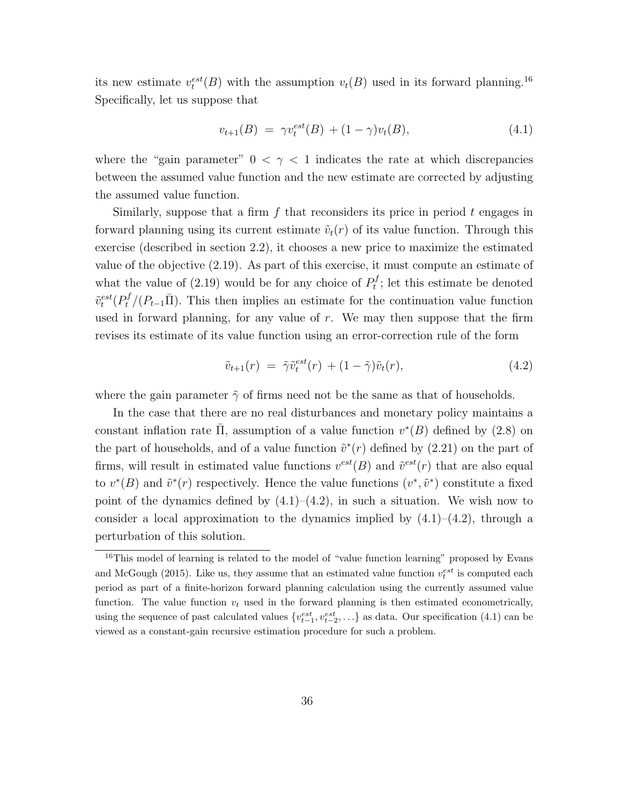its new estimate  $v_t^{est}(B)$  with the assumption  $v_t(B)$  used in its forward planning.<sup>16</sup> Specifically, let us suppose that

$$
v_{t+1}(B) = \gamma v_t^{est}(B) + (1 - \gamma)v_t(B), \qquad (4.1)
$$

where the "gain parameter"  $0 < \gamma < 1$  indicates the rate at which discrepancies between the assumed value function and the new estimate are corrected by adjusting the assumed value function.

Similarly, suppose that a firm  $f$  that reconsiders its price in period  $t$  engages in forward planning using its current estimate  $\tilde{v}_t(r)$  of its value function. Through this exercise (described in section 2.2), it chooses a new price to maximize the estimated value of the objective (2.19). As part of this exercise, it must compute an estimate of what the value of  $(2.19)$  would be for any choice of  $P_t^f$  $t_i^{(t)}$ ; let this estimate be denoted  $\tilde{v}^{est}_t(P_t^f/(P_{t-1}|\bar{\Pi})$ . This then implies an estimate for the continuation value function used in forward planning, for any value of  $r$ . We may then suppose that the firm revises its estimate of its value function using an error-correction rule of the form

$$
\tilde{v}_{t+1}(r) = \tilde{\gamma} \tilde{v}_t^{est}(r) + (1 - \tilde{\gamma}) \tilde{v}_t(r), \qquad (4.2)
$$

where the gain parameter  $\tilde{\gamma}$  of firms need not be the same as that of households.

In the case that there are no real disturbances and monetary policy maintains a constant inflation rate  $\overline{\Pi}$ , assumption of a value function  $v^*(B)$  defined by (2.8) on the part of households, and of a value function  $\tilde{v}^*(r)$  defined by (2.21) on the part of firms, will result in estimated value functions  $v^{est}(B)$  and  $\tilde{v}^{est}(r)$  that are also equal to  $v^*(B)$  and  $\tilde{v}^*(r)$  respectively. Hence the value functions  $(v^*, \tilde{v}^*)$  constitute a fixed point of the dynamics defined by  $(4.1)$ – $(4.2)$ , in such a situation. We wish now to consider a local approximation to the dynamics implied by  $(4.1)$ – $(4.2)$ , through a perturbation of this solution.

<sup>&</sup>lt;sup>16</sup>This model of learning is related to the model of "value function learning" proposed by Evans and McGough (2015). Like us, they assume that an estimated value function  $v_t^{est}$  is computed each period as part of a finite-horizon forward planning calculation using the currently assumed value function. The value function  $v_t$  used in the forward planning is then estimated econometrically, using the sequence of past calculated values  $\{v_{t-1}^{est}, v_{t-2}^{est}, ...\}$  as data. Our specification (4.1) can be viewed as a constant-gain recursive estimation procedure for such a problem.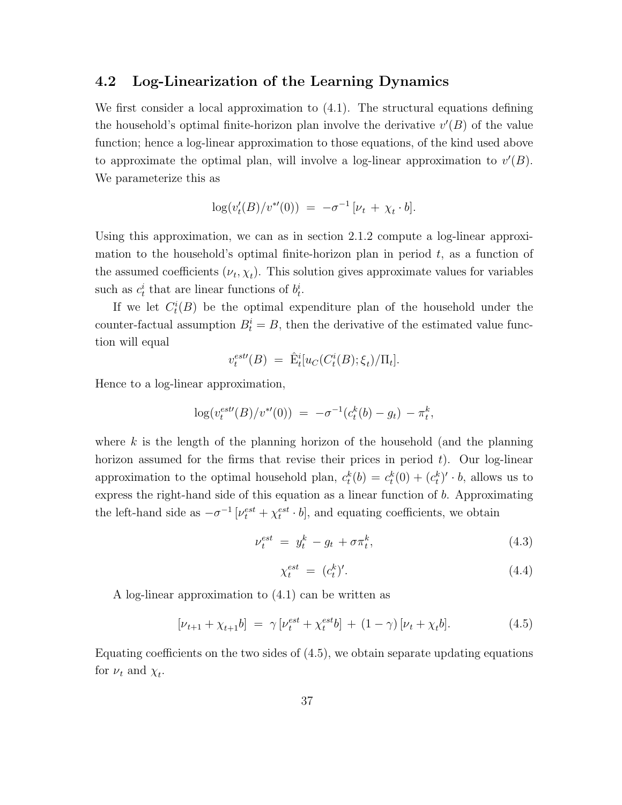### 4.2 Log-Linearization of the Learning Dynamics

We first consider a local approximation to (4.1). The structural equations defining the household's optimal finite-horizon plan involve the derivative  $v'(B)$  of the value function; hence a log-linear approximation to those equations, of the kind used above to approximate the optimal plan, will involve a log-linear approximation to  $v'(B)$ . We parameterize this as

$$
\log(v'_t(B)/v^{*'}(0)) = -\sigma^{-1}[\nu_t + \chi_t \cdot b].
$$

Using this approximation, we can as in section 2.1.2 compute a log-linear approximation to the household's optimal finite-horizon plan in period  $t$ , as a function of the assumed coefficients  $(\nu_t, \chi_t)$ . This solution gives approximate values for variables such as  $c_t^i$  that are linear functions of  $b_t^i$ .

If we let  $C_t^i(B)$  be the optimal expenditure plan of the household under the counter-factual assumption  $B_t^i = B$ , then the derivative of the estimated value function will equal

$$
v_t^{est}(B) = \hat{\mathcal{E}}_t^i[u_C(C_t^i(B); \xi_t)/\Pi_t].
$$

Hence to a log-linear approximation,

$$
\log(v_t^{est}(B)/v^{*}(0)) = -\sigma^{-1}(c_t^k(b) - g_t) - \pi_t^k,
$$

where k is the length of the planning horizon of the household (and the planning horizon assumed for the firms that revise their prices in period  $t$ ). Our log-linear approximation to the optimal household plan,  $c_t^k(b) = c_t^k(0) + (c_t^k)' \cdot b$ , allows us to express the right-hand side of this equation as a linear function of b. Approximating the left-hand side as  $-\sigma^{-1} \left[ \nu_t^{est} + \chi_t^{est} \cdot b \right]$ , and equating coefficients, we obtain

$$
\nu_t^{est} = y_t^k - g_t + \sigma \pi_t^k, \tag{4.3}
$$

$$
\chi_t^{est} = (c_t^k)'.\tag{4.4}
$$

A log-linear approximation to (4.1) can be written as

$$
[\nu_{t+1} + \chi_{t+1}b] = \gamma [\nu_t^{est} + \chi_t^{est}b] + (1 - \gamma)[\nu_t + \chi_t b]. \tag{4.5}
$$

Equating coefficients on the two sides of (4.5), we obtain separate updating equations for  $\nu_t$  and  $\chi_t$ .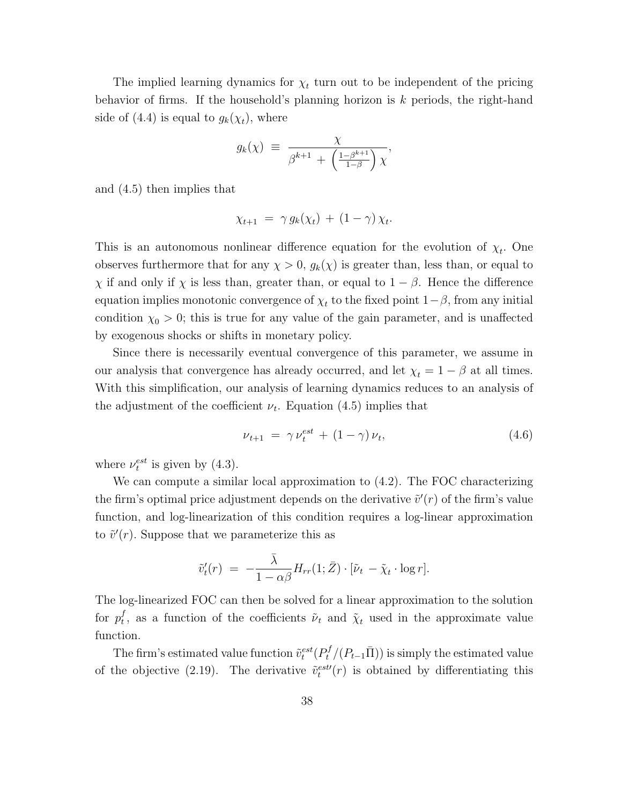The implied learning dynamics for  $\chi_t$  turn out to be independent of the pricing behavior of firms. If the household's planning horizon is k periods, the right-hand side of (4.4) is equal to  $g_k(\chi_t)$ , where

$$
g_k(\chi) \equiv \frac{\chi}{\beta^{k+1} + \left(\frac{1-\beta^{k+1}}{1-\beta}\right)\chi},
$$

and (4.5) then implies that

$$
\chi_{t+1} = \gamma g_k(\chi_t) + (1 - \gamma) \chi_t.
$$

This is an autonomous nonlinear difference equation for the evolution of  $\chi_t$ . One observes furthermore that for any  $\chi > 0$ ,  $g_k(\chi)$  is greater than, less than, or equal to  $\chi$  if and only if  $\chi$  is less than, greater than, or equal to  $1 - \beta$ . Hence the difference equation implies monotonic convergence of  $\chi_t$  to the fixed point  $1-\beta$ , from any initial condition  $\chi_0 > 0$ ; this is true for any value of the gain parameter, and is unaffected by exogenous shocks or shifts in monetary policy.

Since there is necessarily eventual convergence of this parameter, we assume in our analysis that convergence has already occurred, and let  $\chi_t = 1 - \beta$  at all times. With this simplification, our analysis of learning dynamics reduces to an analysis of the adjustment of the coefficient  $\nu_t$ . Equation (4.5) implies that

$$
\nu_{t+1} = \gamma \nu_t^{est} + (1 - \gamma) \nu_t, \tag{4.6}
$$

where  $\nu_t^{est}$  is given by (4.3).

We can compute a similar local approximation to (4.2). The FOC characterizing the firm's optimal price adjustment depends on the derivative  $\tilde{v}'(r)$  of the firm's value function, and log-linearization of this condition requires a log-linear approximation to  $\tilde{v}'(r)$ . Suppose that we parameterize this as

$$
\tilde{v}'_t(r) = -\frac{\bar{\lambda}}{1-\alpha\beta}H_{rr}(1;\bar{Z}) \cdot [\tilde{\nu}_t - \tilde{\chi}_t \cdot \log r].
$$

The log-linearized FOC can then be solved for a linear approximation to the solution for  $p_t^f$ <sup>t</sup><sub>t</sub>, as a function of the coefficients  $\tilde{\nu}_t$  and  $\tilde{\chi}_t$  used in the approximate value function.

The firm's estimated value function  $\tilde{v}^{est}_t(P_t^f/(P_{t-1}\bar{\Pi}))$  is simply the estimated value of the objective (2.19). The derivative  $\tilde{v}_t^{est'}(r)$  is obtained by differentiating this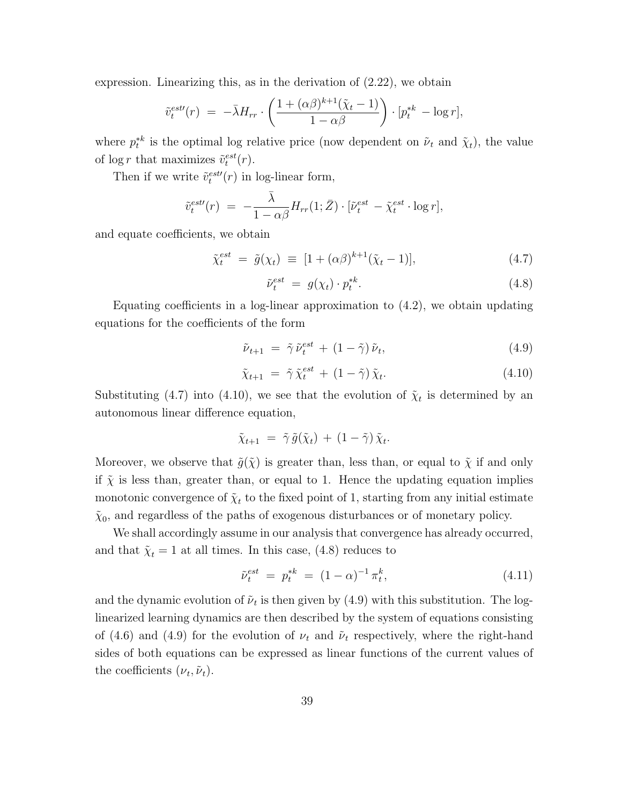expression. Linearizing this, as in the derivation of (2.22), we obtain

$$
\tilde{v}_t^{est}(r) = -\bar{\lambda} H_{rr} \cdot \left( \frac{1 + (\alpha \beta)^{k+1} (\tilde{\chi}_t - 1)}{1 - \alpha \beta} \right) \cdot [p_t^{*k} - \log r],
$$

where  $p_t^{*k}$  is the optimal log relative price (now dependent on  $\tilde{\nu}_t$  and  $\tilde{\chi}_t$ ), the value of  $\log r$  that maximizes  $\tilde{v}_t^{est}(r)$ .

Then if we write  $\tilde{v}_t^{est}(r)$  in log-linear form,

$$
\tilde{v}_t^{estt}(r) = -\frac{\bar{\lambda}}{1-\alpha\beta}H_{rr}(1;\bar{Z})\cdot[\tilde{\nu}_t^{est} - \tilde{\chi}_t^{est}\cdot \log r],
$$

and equate coefficients, we obtain

$$
\tilde{\chi}_t^{est} = \tilde{g}(\chi_t) \equiv [1 + (\alpha \beta)^{k+1} (\tilde{\chi}_t - 1)], \qquad (4.7)
$$

$$
\tilde{\nu}_t^{est} = g(\chi_t) \cdot p_t^{*k}.\tag{4.8}
$$

Equating coefficients in a log-linear approximation to  $(4.2)$ , we obtain updating equations for the coefficients of the form

$$
\tilde{\nu}_{t+1} = \tilde{\gamma} \tilde{\nu}_t^{est} + (1 - \tilde{\gamma}) \tilde{\nu}_t, \tag{4.9}
$$

$$
\tilde{\chi}_{t+1} = \tilde{\gamma} \tilde{\chi}_t^{est} + (1 - \tilde{\gamma}) \tilde{\chi}_t. \tag{4.10}
$$

Substituting (4.7) into (4.10), we see that the evolution of  $\tilde{\chi}_t$  is determined by an autonomous linear difference equation,

$$
\tilde{\chi}_{t+1} = \tilde{\gamma} \tilde{g}(\tilde{\chi}_t) + (1 - \tilde{\gamma}) \tilde{\chi}_t.
$$

Moreover, we observe that  $\tilde{g}(\tilde{\chi})$  is greater than, less than, or equal to  $\tilde{\chi}$  if and only if  $\tilde{\chi}$  is less than, greater than, or equal to 1. Hence the updating equation implies monotonic convergence of  $\tilde{\chi}_t$  to the fixed point of 1, starting from any initial estimate  $\tilde{\chi}_0$ , and regardless of the paths of exogenous disturbances or of monetary policy.

We shall accordingly assume in our analysis that convergence has already occurred, and that  $\tilde{\chi}_t = 1$  at all times. In this case, (4.8) reduces to

$$
\tilde{\nu}_t^{est} = p_t^{*k} = (1 - \alpha)^{-1} \pi_t^k, \tag{4.11}
$$

and the dynamic evolution of  $\tilde{\nu}_t$  is then given by (4.9) with this substitution. The loglinearized learning dynamics are then described by the system of equations consisting of (4.6) and (4.9) for the evolution of  $\nu_t$  and  $\tilde{\nu}_t$  respectively, where the right-hand sides of both equations can be expressed as linear functions of the current values of the coefficients  $(\nu_t, \tilde{\nu}_t)$ .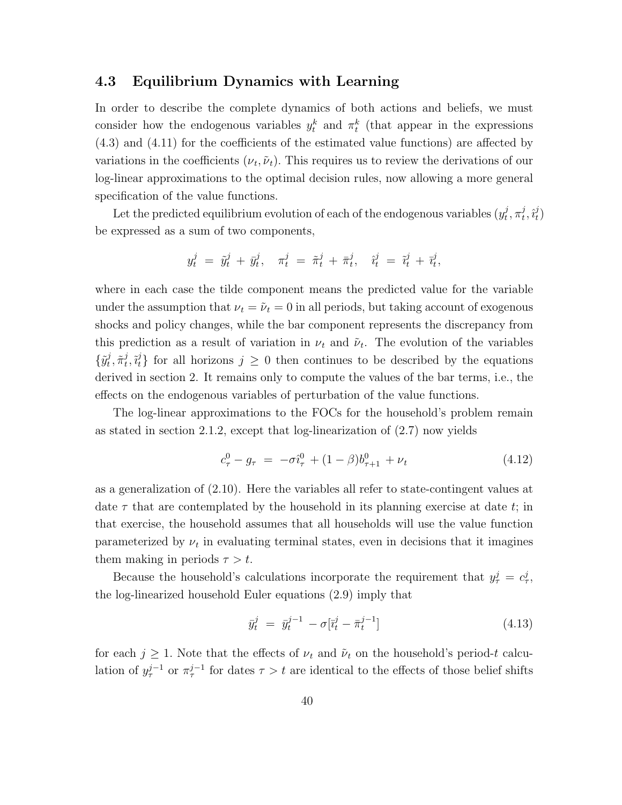### 4.3 Equilibrium Dynamics with Learning

In order to describe the complete dynamics of both actions and beliefs, we must consider how the endogenous variables  $y_t^k$  and  $\pi_t^k$  (that appear in the expressions (4.3) and (4.11) for the coefficients of the estimated value functions) are affected by variations in the coefficients  $(\nu_t, \tilde{\nu}_t)$ . This requires us to review the derivations of our log-linear approximations to the optimal decision rules, now allowing a more general specification of the value functions.

Let the predicted equilibrium evolution of each of the endogenous variables  $(y_t^j)$  $_i^j, \pi_t^j$  $_{t}^{j},\hat{\imath}_{t}^{j}$  $\binom{J}{t}$ be expressed as a sum of two components,

$$
y^j_t \; = \; \tilde{y}^j_t \, + \, \bar{y}^j_t, \quad \pi^j_t \; = \; \tilde{\pi}^j_t \, + \, \bar{\pi}^j_t, \quad \hat{\imath}^j_t \; = \; \tilde{\imath}^j_t \, + \, \bar{\imath}^j_t,
$$

where in each case the tilde component means the predicted value for the variable under the assumption that  $\nu_t = \tilde{\nu}_t = 0$  in all periods, but taking account of exogenous shocks and policy changes, while the bar component represents the discrepancy from this prediction as a result of variation in  $\nu_t$  and  $\tilde{\nu}_t$ . The evolution of the variables  $\{\tilde{y}_t^j\}$  $_{t}^{j},\tilde{\pi}_{t}^{j}$  $\{\tilde{t}, \tilde{i}_t\}$  for all horizons  $j \geq 0$  then continues to be described by the equations derived in section 2. It remains only to compute the values of the bar terms, i.e., the effects on the endogenous variables of perturbation of the value functions.

The log-linear approximations to the FOCs for the household's problem remain as stated in section 2.1.2, except that log-linearization of (2.7) now yields

$$
c_{\tau}^{0} - g_{\tau} = -\sigma \hat{i}_{\tau}^{0} + (1 - \beta)b_{\tau+1}^{0} + \nu_{t}
$$
\n(4.12)

as a generalization of (2.10). Here the variables all refer to state-contingent values at date  $\tau$  that are contemplated by the household in its planning exercise at date t; in that exercise, the household assumes that all households will use the value function parameterized by  $\nu_t$  in evaluating terminal states, even in decisions that it imagines them making in periods  $\tau > t$ .

Because the household's calculations incorporate the requirement that  $y^j_\tau = c^j_\tau$ , the log-linearized household Euler equations (2.9) imply that

$$
\bar{y}_t^j = \bar{y}_t^{j-1} - \sigma[\bar{u}_t^j - \bar{\pi}_t^{j-1}] \tag{4.13}
$$

for each  $j \geq 1$ . Note that the effects of  $\nu_t$  and  $\tilde{\nu}_t$  on the household's period-t calculation of  $y_{\tau}^{j-1}$  or  $\pi_{\tau}^{j-1}$  for dates  $\tau > t$  are identical to the effects of those belief shifts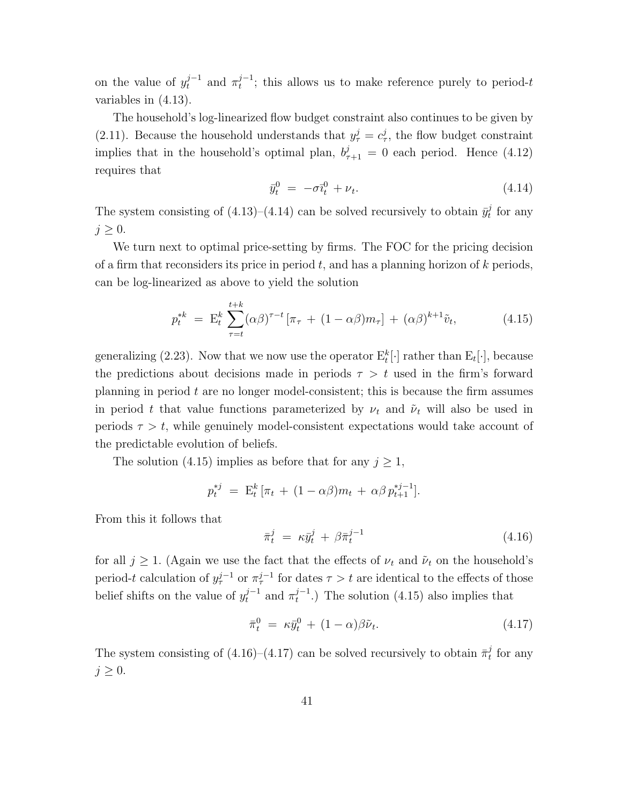on the value of  $y_t^{j-1}$  and  $\pi_t^{j-1}$  $t^{j-1}$ ; this allows us to make reference purely to period- $t$ variables in (4.13).

The household's log-linearized flow budget constraint also continues to be given by (2.11). Because the household understands that  $y^j_\tau = c^j_\tau$ , the flow budget constraint implies that in the household's optimal plan,  $b_{\tau+1}^j = 0$  each period. Hence (4.12) requires that

$$
\bar{y}_t^0 = -\sigma_t^0 + \nu_t. \tag{4.14}
$$

The system consisting of  $(4.13)$ – $(4.14)$  can be solved recursively to obtain  $\bar{y}_t^j$  $t \atop t$  for any  $j \geq 0$ .

We turn next to optimal price-setting by firms. The FOC for the pricing decision of a firm that reconsiders its price in period  $t$ , and has a planning horizon of  $k$  periods, can be log-linearized as above to yield the solution

$$
p_t^{*k} = \mathcal{E}_t^k \sum_{\tau=t}^{t+k} (\alpha \beta)^{\tau-t} \left[ \pi_\tau + (1 - \alpha \beta) m_\tau \right] + (\alpha \beta)^{k+1} \tilde{v}_t, \tag{4.15}
$$

generalizing (2.23). Now that we now use the operator  $E_t^k[\cdot]$  rather than  $E_t[\cdot]$ , because the predictions about decisions made in periods  $\tau > t$  used in the firm's forward planning in period  $t$  are no longer model-consistent; this is because the firm assumes in period t that value functions parameterized by  $\nu_t$  and  $\tilde{\nu}_t$  will also be used in periods  $\tau > t$ , while genuinely model-consistent expectations would take account of the predictable evolution of beliefs.

The solution (4.15) implies as before that for any  $j \geq 1$ ,

$$
p_t^{*j} = \mathbf{E}_t^k \left[ \pi_t + (1 - \alpha \beta) m_t + \alpha \beta \, p_{t+1}^{*j-1} \right].
$$

From this it follows that

$$
\bar{\pi}_t^j = \kappa \bar{y}_t^j + \beta \bar{\pi}_t^{j-1} \tag{4.16}
$$

for all  $j \geq 1$ . (Again we use the fact that the effects of  $\nu_t$  and  $\tilde{\nu}_t$  on the household's period-t calculation of  $y_{\tau}^{j-1}$  or  $\pi_{\tau}^{j-1}$  for dates  $\tau > t$  are identical to the effects of those belief shifts on the value of  $y_t^{j-1}$  and  $\pi_t^{j-1}$  $t^{j-1}$ .) The solution (4.15) also implies that

$$
\bar{\pi}_t^0 = \kappa \bar{y}_t^0 + (1 - \alpha)\beta \tilde{\nu}_t. \tag{4.17}
$$

The system consisting of (4.16)–(4.17) can be solved recursively to obtain  $\bar{\pi}_t^j$  $t \text{ for any}$  $j \geq 0$ .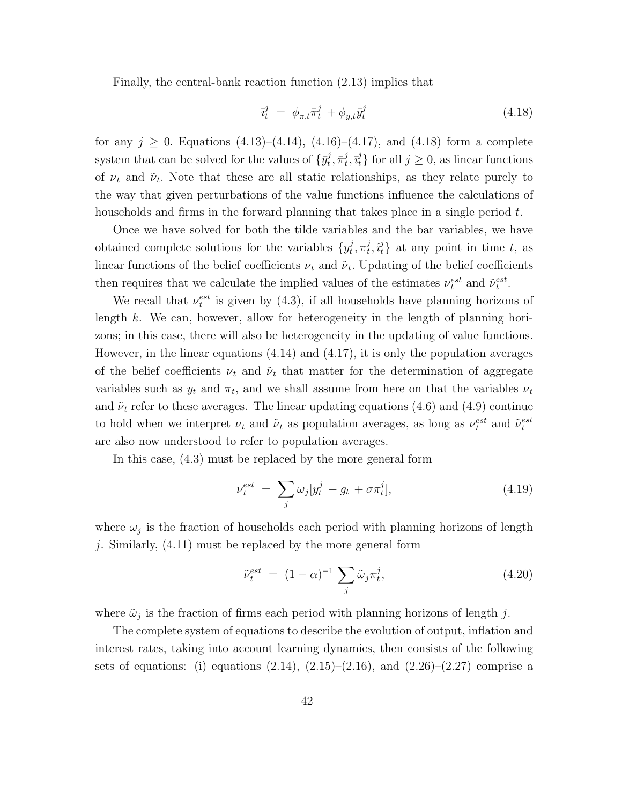Finally, the central-bank reaction function (2.13) implies that

$$
\bar{v}_t^j = \phi_{\pi, t} \bar{\pi}_t^j + \phi_{y, t} \bar{y}_t^j \tag{4.18}
$$

for any  $j \geq 0$ . Equations  $(4.13)$ – $(4.14)$ ,  $(4.16)$ – $(4.17)$ , and  $(4.18)$  form a complete system that can be solved for the values of  $\{\bar{y}_t^j\}$  $_i^j, \bar{\pi}_t^j$  $\{\vec{v}_t, \vec{v}_t^j\}$  for all  $j \geq 0$ , as linear functions of  $\nu_t$  and  $\tilde{\nu}_t$ . Note that these are all static relationships, as they relate purely to the way that given perturbations of the value functions influence the calculations of households and firms in the forward planning that takes place in a single period t.

Once we have solved for both the tilde variables and the bar variables, we have obtained complete solutions for the variables  $\{y_t^j\}$  $_i^j, \pi_t^j$  $\{\hat{i}, \hat{i}_t^j\}$  at any point in time t, as linear functions of the belief coefficients  $\nu_t$  and  $\tilde{\nu}_t$ . Updating of the belief coefficients then requires that we calculate the implied values of the estimates  $\nu_t^{est}$  and  $\tilde{\nu}_t^{est}$ .

We recall that  $\nu_t^{est}$  is given by (4.3), if all households have planning horizons of length  $k$ . We can, however, allow for heterogeneity in the length of planning horizons; in this case, there will also be heterogeneity in the updating of value functions. However, in the linear equations (4.14) and (4.17), it is only the population averages of the belief coefficients  $\nu_t$  and  $\tilde{\nu}_t$  that matter for the determination of aggregate variables such as  $y_t$  and  $\pi_t$ , and we shall assume from here on that the variables  $\nu_t$ and  $\tilde{\nu}_t$  refer to these averages. The linear updating equations (4.6) and (4.9) continue to hold when we interpret  $\nu_t$  and  $\tilde{\nu}_t$  as population averages, as long as  $\nu_t^{est}$  and  $\tilde{\nu}_t^{est}$ are also now understood to refer to population averages.

In this case, (4.3) must be replaced by the more general form

$$
\nu_t^{est} = \sum_j \omega_j [y_t^j - g_t + \sigma \pi_t^j], \qquad (4.19)
$$

where  $\omega_j$  is the fraction of households each period with planning horizons of length j. Similarly, (4.11) must be replaced by the more general form

$$
\tilde{\nu}_t^{est} = (1 - \alpha)^{-1} \sum_j \tilde{\omega}_j \pi_t^j, \qquad (4.20)
$$

where  $\tilde{\omega}_j$  is the fraction of firms each period with planning horizons of length j.

The complete system of equations to describe the evolution of output, inflation and interest rates, taking into account learning dynamics, then consists of the following sets of equations: (i) equations  $(2.14)$ ,  $(2.15)$ – $(2.16)$ , and  $(2.26)$ – $(2.27)$  comprise a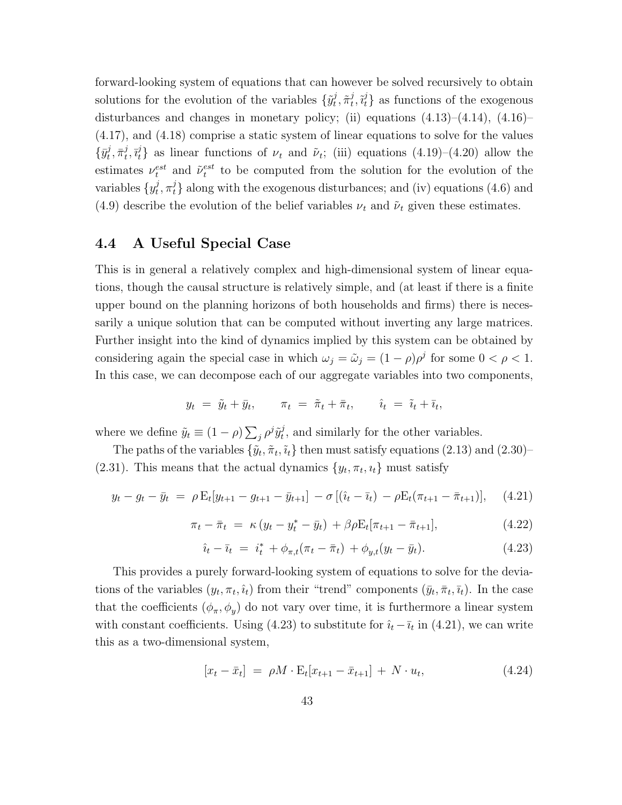forward-looking system of equations that can however be solved recursively to obtain solutions for the evolution of the variables  $\{\tilde{y}_t^j\}$  $_{t}^{j},\tilde{\pi}_{t}^{j}$  $(t, \tilde{u}_t^j)$  as functions of the exogenous disturbances and changes in monetary policy; (ii) equations  $(4.13)$ – $(4.14)$ ,  $(4.16)$ – (4.17), and (4.18) comprise a static system of linear equations to solve for the values  $\{\bar{y}^j_t$  $_{t}^{j},\bar{\pi}_{t}^{j}$  $\{\vec{v}_t, \vec{v}_t\}$  as linear functions of  $\nu_t$  and  $\tilde{\nu}_t$ ; (iii) equations (4.19)–(4.20) allow the estimates  $\nu_t^{est}$  and  $\tilde{\nu}_t^{est}$  to be computed from the solution for the evolution of the variables  $\{y_t^j\}$  $\{\vec{t}}_t, \pi_t^j\}$  along with the exogenous disturbances; and (iv) equations (4.6) and (4.9) describe the evolution of the belief variables  $\nu_t$  and  $\tilde{\nu}_t$  given these estimates.

### 4.4 A Useful Special Case

This is in general a relatively complex and high-dimensional system of linear equations, though the causal structure is relatively simple, and (at least if there is a finite upper bound on the planning horizons of both households and firms) there is necessarily a unique solution that can be computed without inverting any large matrices. Further insight into the kind of dynamics implied by this system can be obtained by considering again the special case in which  $\omega_j = \tilde{\omega}_j = (1 - \rho)\rho^j$  for some  $0 < \rho < 1$ . In this case, we can decompose each of our aggregate variables into two components,

$$
y_t = \tilde{y}_t + \bar{y}_t, \qquad \pi_t = \tilde{\pi}_t + \bar{\pi}_t, \qquad \hat{i}_t = \tilde{i}_t + \bar{i}_t,
$$

where we define  $\tilde{y}_t \equiv (1 - \rho) \sum_j \rho^j \tilde{y}_t^j$  $t<sub>t</sub>$ , and similarly for the other variables.

The paths of the variables  $\{\tilde{y}_t, \tilde{\pi}_t, \tilde{i}_t\}$  then must satisfy equations (2.13) and (2.30) (2.31). This means that the actual dynamics  $\{y_t, \pi_t, i_t\}$  must satisfy

$$
y_t - g_t - \bar{y}_t = \rho \mathbf{E}_t[y_{t+1} - g_{t+1} - \bar{y}_{t+1}] - \sigma \left[ (\hat{i}_t - \bar{i}_t) - \rho \mathbf{E}_t(\pi_{t+1} - \bar{\pi}_{t+1}) \right], \quad (4.21)
$$

$$
\pi_t - \bar{\pi}_t = \kappa (y_t - y_t^* - \bar{y}_t) + \beta \rho E_t[\pi_{t+1} - \bar{\pi}_{t+1}], \tag{4.22}
$$

$$
\hat{u}_t - \bar{u}_t = i_t^* + \phi_{\pi, t}(\pi_t - \bar{\pi}_t) + \phi_{y, t}(y_t - \bar{y}_t). \tag{4.23}
$$

This provides a purely forward-looking system of equations to solve for the deviations of the variables  $(y_t, \pi_t, \hat{\imath}_t)$  from their "trend" components  $(\bar{y}_t, \bar{\pi}_t, \bar{\imath}_t)$ . In the case that the coefficients  $(\phi_{\pi}, \phi_y)$  do not vary over time, it is furthermore a linear system with constant coefficients. Using (4.23) to substitute for  $\hat{i}_t - \overline{i}_t$  in (4.21), we can write this as a two-dimensional system,

$$
[x_t - \bar{x}_t] = \rho M \cdot \mathcal{E}_t[x_{t+1} - \bar{x}_{t+1}] + N \cdot u_t, \tag{4.24}
$$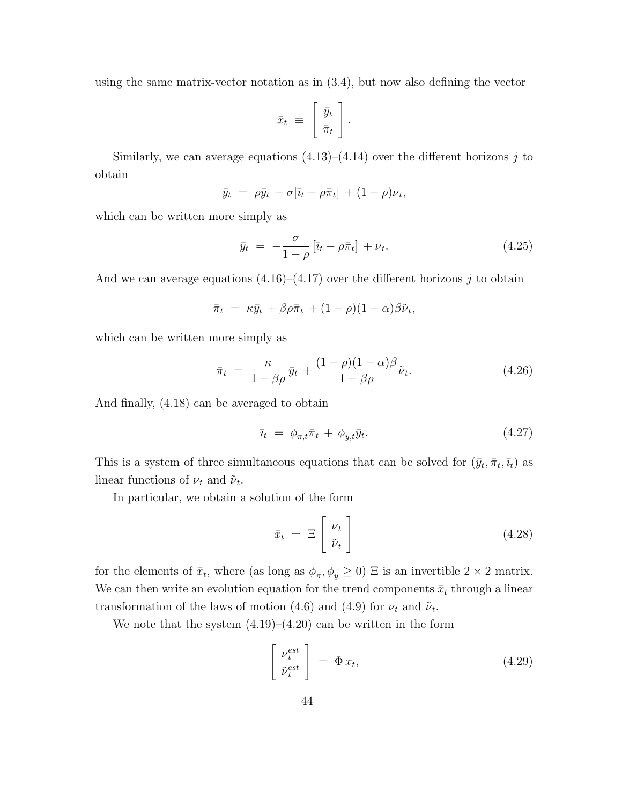using the same matrix-vector notation as in (3.4), but now also defining the vector

$$
\bar{x}_t \equiv \begin{bmatrix} \bar{y}_t \\ \bar{\pi}_t \end{bmatrix}.
$$

Similarly, we can average equations  $(4.13)$ – $(4.14)$  over the different horizons j to obtain

$$
\bar{y}_t = \rho \bar{y}_t - \sigma[\bar{u}_t - \rho \bar{\pi}_t] + (1 - \rho)\nu_t,
$$

which can be written more simply as

$$
\bar{y}_t = -\frac{\sigma}{1-\rho} \left[ \bar{u}_t - \rho \bar{\pi}_t \right] + \nu_t. \tag{4.25}
$$

And we can average equations  $(4.16)$ – $(4.17)$  over the different horizons j to obtain

$$
\bar{\pi}_t = \kappa \bar{y}_t + \beta \rho \bar{\pi}_t + (1 - \rho)(1 - \alpha)\beta \tilde{\nu}_t,
$$

which can be written more simply as

$$
\bar{\pi}_t = \frac{\kappa}{1 - \beta \rho} \bar{y}_t + \frac{(1 - \rho)(1 - \alpha)\beta}{1 - \beta \rho} \tilde{\nu}_t.
$$
\n(4.26)

And finally, (4.18) can be averaged to obtain

$$
\bar{u}_t = \phi_{\pi, t} \bar{\pi}_t + \phi_{y, t} \bar{y}_t. \tag{4.27}
$$

This is a system of three simultaneous equations that can be solved for  $(\bar{y}_t, \bar{\pi}_t, \bar{i}_t)$  as linear functions of  $\nu_t$  and  $\tilde{\nu}_t$ .

In particular, we obtain a solution of the form

$$
\bar{x}_t = \Xi \begin{bmatrix} \nu_t \\ \tilde{\nu}_t \end{bmatrix} \tag{4.28}
$$

for the elements of  $\bar{x}_t$ , where (as long as  $\phi_\pi, \phi_y \ge 0$ )  $\Xi$  is an invertible  $2 \times 2$  matrix. We can then write an evolution equation for the trend components  $\bar{x}_t$  through a linear transformation of the laws of motion (4.6) and (4.9) for  $\nu_t$  and  $\tilde{\nu}_t$ .

We note that the system  $(4.19)$ – $(4.20)$  can be written in the form

$$
\begin{bmatrix} \nu_t^{est} \\ \tilde{\nu}_t^{est} \end{bmatrix} = \Phi x_t,
$$
\n(4.29)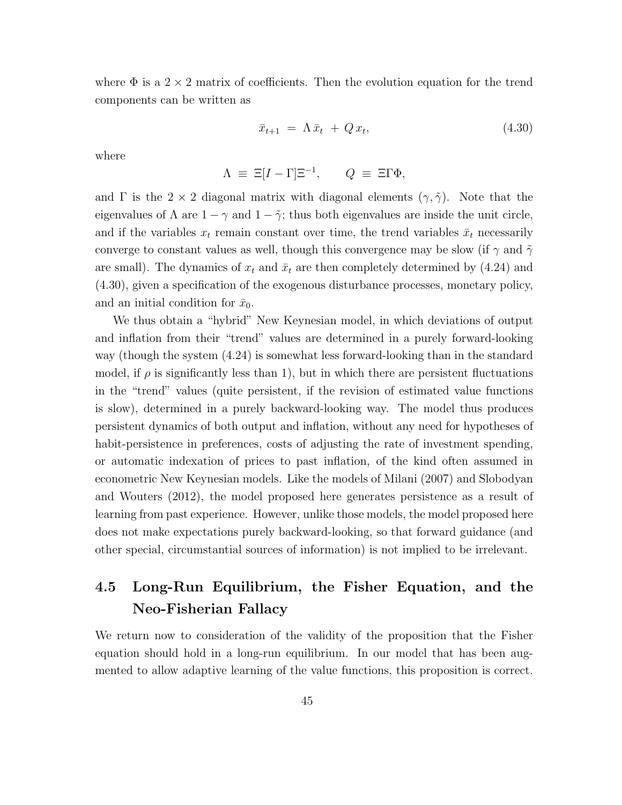where  $\Phi$  is a  $2 \times 2$  matrix of coefficients. Then the evolution equation for the trend components can be written as

$$
\bar{x}_{t+1} = \Lambda \bar{x}_t + Q x_t, \qquad (4.30)
$$

where

$$
\Lambda \equiv \Xi[I - \Gamma]\Xi^{-1}, \qquad Q \equiv \Xi\Gamma\Phi,
$$

and  $\Gamma$  is the  $2 \times 2$  diagonal matrix with diagonal elements  $(\gamma, \tilde{\gamma})$ . Note that the eigenvalues of  $\Lambda$  are  $1 - \gamma$  and  $1 - \tilde{\gamma}$ ; thus both eigenvalues are inside the unit circle, and if the variables  $x_t$  remain constant over time, the trend variables  $\bar{x}_t$  necessarily converge to constant values as well, though this convergence may be slow (if  $\gamma$  and  $\tilde{\gamma}$ are small). The dynamics of  $x_t$  and  $\bar{x}_t$  are then completely determined by (4.24) and (4.30), given a specification of the exogenous disturbance processes, monetary policy, and an initial condition for  $\bar{x}_0$ .

We thus obtain a "hybrid" New Keynesian model, in which deviations of output and inflation from their "trend" values are determined in a purely forward-looking way (though the system (4.24) is somewhat less forward-looking than in the standard model, if  $\rho$  is significantly less than 1), but in which there are persistent fluctuations in the "trend" values (quite persistent, if the revision of estimated value functions is slow), determined in a purely backward-looking way. The model thus produces persistent dynamics of both output and inflation, without any need for hypotheses of habit-persistence in preferences, costs of adjusting the rate of investment spending, or automatic indexation of prices to past inflation, of the kind often assumed in econometric New Keynesian models. Like the models of Milani (2007) and Slobodyan and Wouters (2012), the model proposed here generates persistence as a result of learning from past experience. However, unlike those models, the model proposed here does not make expectations purely backward-looking, so that forward guidance (and other special, circumstantial sources of information) is not implied to be irrelevant.

# 4.5 Long-Run Equilibrium, the Fisher Equation, and the Neo-Fisherian Fallacy

We return now to consideration of the validity of the proposition that the Fisher equation should hold in a long-run equilibrium. In our model that has been augmented to allow adaptive learning of the value functions, this proposition is correct.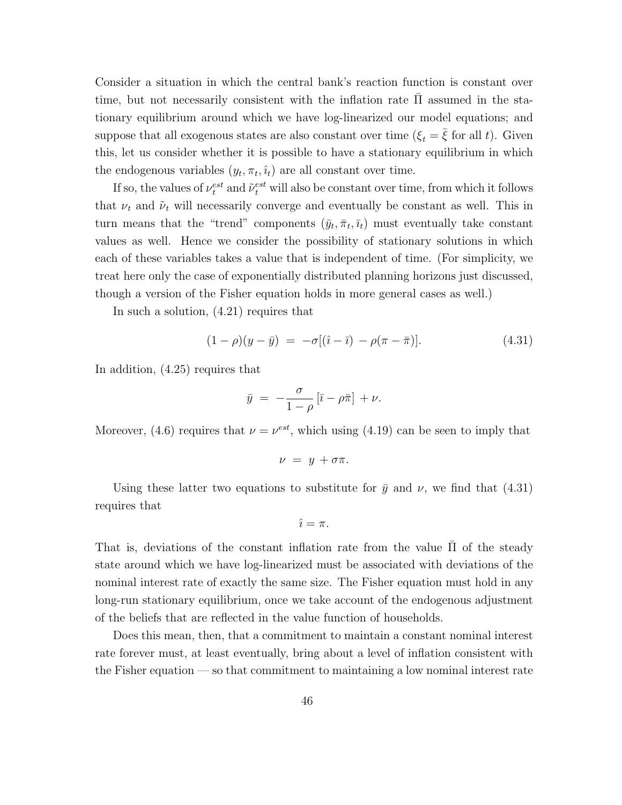Consider a situation in which the central bank's reaction function is constant over time, but not necessarily consistent with the inflation rate  $\Pi$  assumed in the stationary equilibrium around which we have log-linearized our model equations; and suppose that all exogenous states are also constant over time  $(\xi_t = \overline{\xi}$  for all t). Given this, let us consider whether it is possible to have a stationary equilibrium in which the endogenous variables  $(y_t, \pi_t, \hat{\imath}_t)$  are all constant over time.

If so, the values of  $\nu_t^{est}$  and  $\tilde{\nu}_t^{est}$  will also be constant over time, from which it follows that  $\nu_t$  and  $\tilde{\nu}_t$  will necessarily converge and eventually be constant as well. This in turn means that the "trend" components  $(\bar{y}_t, \bar{\pi}_t, \bar{i}_t)$  must eventually take constant values as well. Hence we consider the possibility of stationary solutions in which each of these variables takes a value that is independent of time. (For simplicity, we treat here only the case of exponentially distributed planning horizons just discussed, though a version of the Fisher equation holds in more general cases as well.)

In such a solution, (4.21) requires that

$$
(1 - \rho)(y - \bar{y}) = -\sigma[(\hat{i} - \bar{\imath}) - \rho(\pi - \bar{\pi})]. \tag{4.31}
$$

In addition, (4.25) requires that

$$
\bar{y} = -\frac{\sigma}{1-\rho} \left[ \bar{i} - \rho \bar{\pi} \right] + \nu.
$$

Moreover, (4.6) requires that  $\nu = \nu^{est}$ , which using (4.19) can be seen to imply that

$$
\nu = y + \sigma \pi.
$$

Using these latter two equations to substitute for  $\bar{y}$  and  $\nu$ , we find that (4.31) requires that

$$
\hat{\imath}=\pi.
$$

That is, deviations of the constant inflation rate from the value  $\Pi$  of the steady state around which we have log-linearized must be associated with deviations of the nominal interest rate of exactly the same size. The Fisher equation must hold in any long-run stationary equilibrium, once we take account of the endogenous adjustment of the beliefs that are reflected in the value function of households.

Does this mean, then, that a commitment to maintain a constant nominal interest rate forever must, at least eventually, bring about a level of inflation consistent with the Fisher equation — so that commitment to maintaining a low nominal interest rate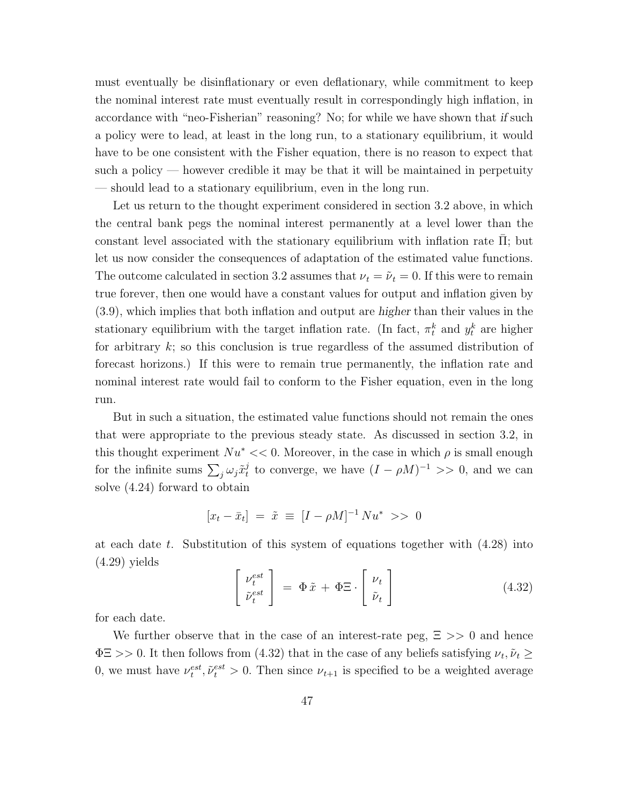must eventually be disinflationary or even deflationary, while commitment to keep the nominal interest rate must eventually result in correspondingly high inflation, in accordance with "neo-Fisherian" reasoning? No; for while we have shown that if such a policy were to lead, at least in the long run, to a stationary equilibrium, it would have to be one consistent with the Fisher equation, there is no reason to expect that such a policy — however credible it may be that it will be maintained in perpetuity — should lead to a stationary equilibrium, even in the long run.

Let us return to the thought experiment considered in section 3.2 above, in which the central bank pegs the nominal interest permanently at a level lower than the constant level associated with the stationary equilibrium with inflation rate  $\Pi$ ; but let us now consider the consequences of adaptation of the estimated value functions. The outcome calculated in section 3.2 assumes that  $\nu_t = \tilde{\nu}_t = 0$ . If this were to remain true forever, then one would have a constant values for output and inflation given by (3.9), which implies that both inflation and output are higher than their values in the stationary equilibrium with the target inflation rate. (In fact,  $\pi_t^k$  and  $y_t^k$  are higher for arbitrary  $k$ ; so this conclusion is true regardless of the assumed distribution of forecast horizons.) If this were to remain true permanently, the inflation rate and nominal interest rate would fail to conform to the Fisher equation, even in the long run.

But in such a situation, the estimated value functions should not remain the ones that were appropriate to the previous steady state. As discussed in section 3.2, in this thought experiment  $Nu^* << 0$ . Moreover, in the case in which  $\rho$  is small enough for the infinite sums  $\sum_j \omega_j \tilde{x}_t^j$  $t_t^j$  to converge, we have  $(I - \rho M)^{-1} >> 0$ , and we can solve (4.24) forward to obtain

$$
[x_t - \bar{x}_t] = \tilde{x} \equiv [I - \rho M]^{-1} N u^* \>>> 0
$$

at each date t. Substitution of this system of equations together with  $(4.28)$  into (4.29) yields

$$
\begin{bmatrix}\n\nu_t^{est} \\
\tilde{\nu}_t^{est}\n\end{bmatrix} = \Phi \tilde{x} + \Phi \Xi \cdot \begin{bmatrix}\n\nu_t \\
\tilde{\nu}_t\n\end{bmatrix} \tag{4.32}
$$

for each date.

We further observe that in the case of an interest-rate peg,  $\Xi >> 0$  and hence  $\Phi \equiv >> 0$ . It then follows from (4.32) that in the case of any beliefs satisfying  $\nu_t$ ,  $\tilde{\nu}_t \geq$ 0, we must have  $\nu_t^{est}, \tilde{\nu}_t^{est} > 0$ . Then since  $\nu_{t+1}$  is specified to be a weighted average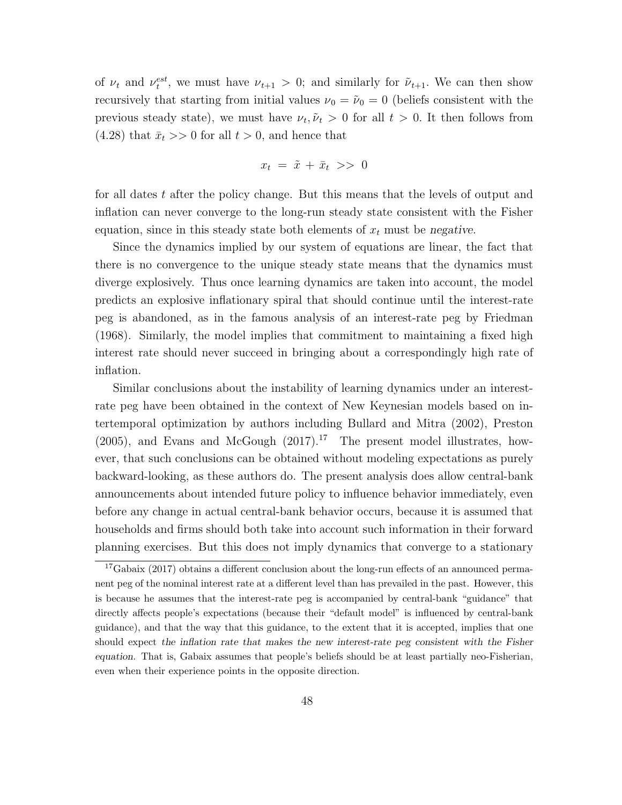of  $\nu_t$  and  $\nu_t^{est}$ , we must have  $\nu_{t+1} > 0$ ; and similarly for  $\tilde{\nu}_{t+1}$ . We can then show recursively that starting from initial values  $\nu_0 = \tilde{\nu}_0 = 0$  (beliefs consistent with the previous steady state), we must have  $\nu_t$ ,  $\tilde{\nu}_t > 0$  for all  $t > 0$ . It then follows from  $(4.28)$  that  $\bar{x}_t \gg 0$  for all  $t > 0$ , and hence that

$$
x_t = \tilde{x} + \bar{x}_t \>>> 0
$$

for all dates  $t$  after the policy change. But this means that the levels of output and inflation can never converge to the long-run steady state consistent with the Fisher equation, since in this steady state both elements of  $x_t$  must be negative.

Since the dynamics implied by our system of equations are linear, the fact that there is no convergence to the unique steady state means that the dynamics must diverge explosively. Thus once learning dynamics are taken into account, the model predicts an explosive inflationary spiral that should continue until the interest-rate peg is abandoned, as in the famous analysis of an interest-rate peg by Friedman (1968). Similarly, the model implies that commitment to maintaining a fixed high interest rate should never succeed in bringing about a correspondingly high rate of inflation.

Similar conclusions about the instability of learning dynamics under an interestrate peg have been obtained in the context of New Keynesian models based on intertemporal optimization by authors including Bullard and Mitra (2002), Preston  $(2005)$ , and Evans and McGough  $(2017).<sup>17</sup>$  The present model illustrates, however, that such conclusions can be obtained without modeling expectations as purely backward-looking, as these authors do. The present analysis does allow central-bank announcements about intended future policy to influence behavior immediately, even before any change in actual central-bank behavior occurs, because it is assumed that households and firms should both take into account such information in their forward planning exercises. But this does not imply dynamics that converge to a stationary

<sup>&</sup>lt;sup>17</sup>Gabaix (2017) obtains a different conclusion about the long-run effects of an announced permanent peg of the nominal interest rate at a different level than has prevailed in the past. However, this is because he assumes that the interest-rate peg is accompanied by central-bank "guidance" that directly affects people's expectations (because their "default model" is influenced by central-bank guidance), and that the way that this guidance, to the extent that it is accepted, implies that one should expect the inflation rate that makes the new interest-rate peg consistent with the Fisher equation. That is, Gabaix assumes that people's beliefs should be at least partially neo-Fisherian, even when their experience points in the opposite direction.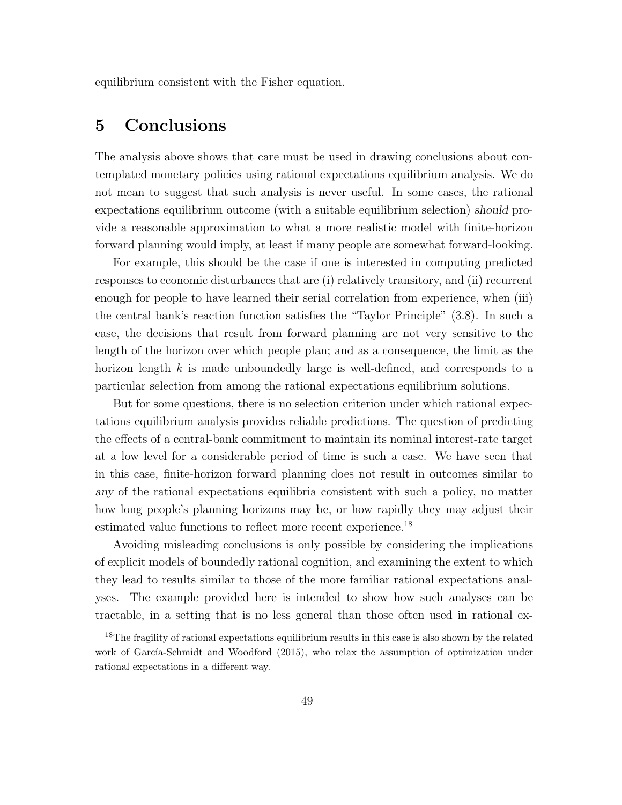equilibrium consistent with the Fisher equation.

# 5 Conclusions

The analysis above shows that care must be used in drawing conclusions about contemplated monetary policies using rational expectations equilibrium analysis. We do not mean to suggest that such analysis is never useful. In some cases, the rational expectations equilibrium outcome (with a suitable equilibrium selection) should provide a reasonable approximation to what a more realistic model with finite-horizon forward planning would imply, at least if many people are somewhat forward-looking.

For example, this should be the case if one is interested in computing predicted responses to economic disturbances that are (i) relatively transitory, and (ii) recurrent enough for people to have learned their serial correlation from experience, when (iii) the central bank's reaction function satisfies the "Taylor Principle" (3.8). In such a case, the decisions that result from forward planning are not very sensitive to the length of the horizon over which people plan; and as a consequence, the limit as the horizon length  $k$  is made unboundedly large is well-defined, and corresponds to a particular selection from among the rational expectations equilibrium solutions.

But for some questions, there is no selection criterion under which rational expectations equilibrium analysis provides reliable predictions. The question of predicting the effects of a central-bank commitment to maintain its nominal interest-rate target at a low level for a considerable period of time is such a case. We have seen that in this case, finite-horizon forward planning does not result in outcomes similar to any of the rational expectations equilibria consistent with such a policy, no matter how long people's planning horizons may be, or how rapidly they may adjust their estimated value functions to reflect more recent experience.<sup>18</sup>

Avoiding misleading conclusions is only possible by considering the implications of explicit models of boundedly rational cognition, and examining the extent to which they lead to results similar to those of the more familiar rational expectations analyses. The example provided here is intended to show how such analyses can be tractable, in a setting that is no less general than those often used in rational ex-

<sup>&</sup>lt;sup>18</sup>The fragility of rational expectations equilibrium results in this case is also shown by the related work of García-Schmidt and Woodford (2015), who relax the assumption of optimization under rational expectations in a different way.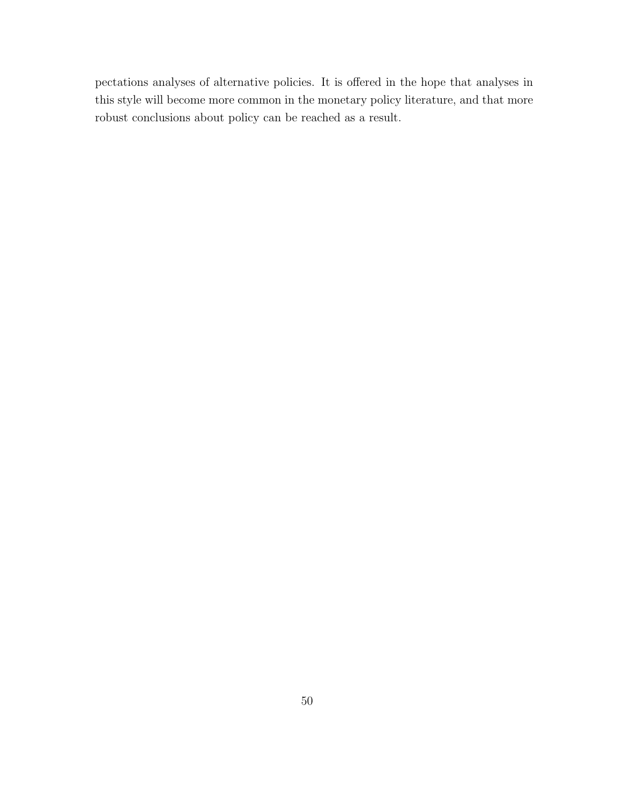pectations analyses of alternative policies. It is offered in the hope that analyses in this style will become more common in the monetary policy literature, and that more robust conclusions about policy can be reached as a result.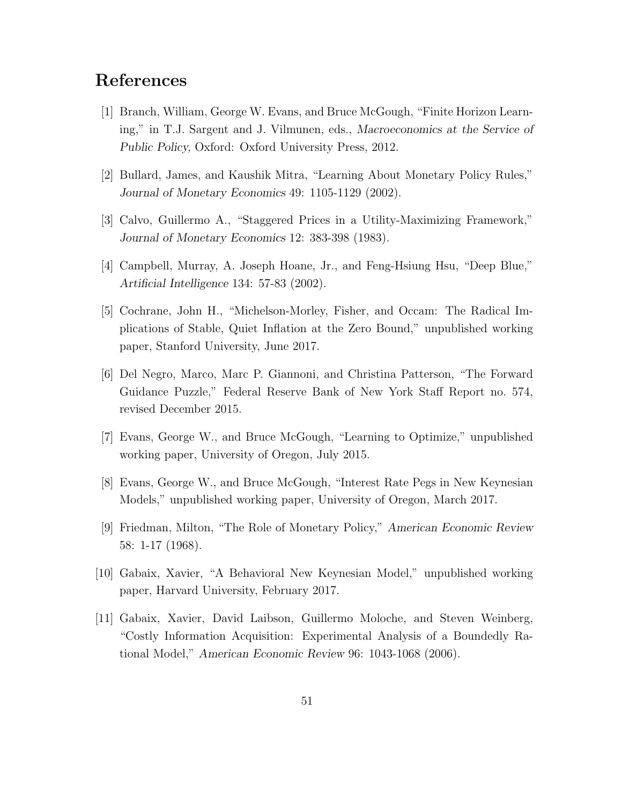# References

- [1] Branch, William, George W. Evans, and Bruce McGough, "Finite Horizon Learning," in T.J. Sargent and J. Vilmunen, eds., Macroeconomics at the Service of Public Policy, Oxford: Oxford University Press, 2012.
- [2] Bullard, James, and Kaushik Mitra, "Learning About Monetary Policy Rules," Journal of Monetary Economics 49: 1105-1129 (2002).
- [3] Calvo, Guillermo A., "Staggered Prices in a Utility-Maximizing Framework," Journal of Monetary Economics 12: 383-398 (1983).
- [4] Campbell, Murray, A. Joseph Hoane, Jr., and Feng-Hsiung Hsu, "Deep Blue," Artificial Intelligence 134: 57-83 (2002).
- [5] Cochrane, John H., "Michelson-Morley, Fisher, and Occam: The Radical Implications of Stable, Quiet Inflation at the Zero Bound," unpublished working paper, Stanford University, June 2017.
- [6] Del Negro, Marco, Marc P. Giannoni, and Christina Patterson, "The Forward Guidance Puzzle," Federal Reserve Bank of New York Staff Report no. 574, revised December 2015.
- [7] Evans, George W., and Bruce McGough, "Learning to Optimize," unpublished working paper, University of Oregon, July 2015.
- [8] Evans, George W., and Bruce McGough, "Interest Rate Pegs in New Keynesian Models," unpublished working paper, University of Oregon, March 2017.
- [9] Friedman, Milton, "The Role of Monetary Policy," American Economic Review 58: 1-17 (1968).
- [10] Gabaix, Xavier, "A Behavioral New Keynesian Model," unpublished working paper, Harvard University, February 2017.
- [11] Gabaix, Xavier, David Laibson, Guillermo Moloche, and Steven Weinberg, "Costly Information Acquisition: Experimental Analysis of a Boundedly Rational Model," American Economic Review 96: 1043-1068 (2006).